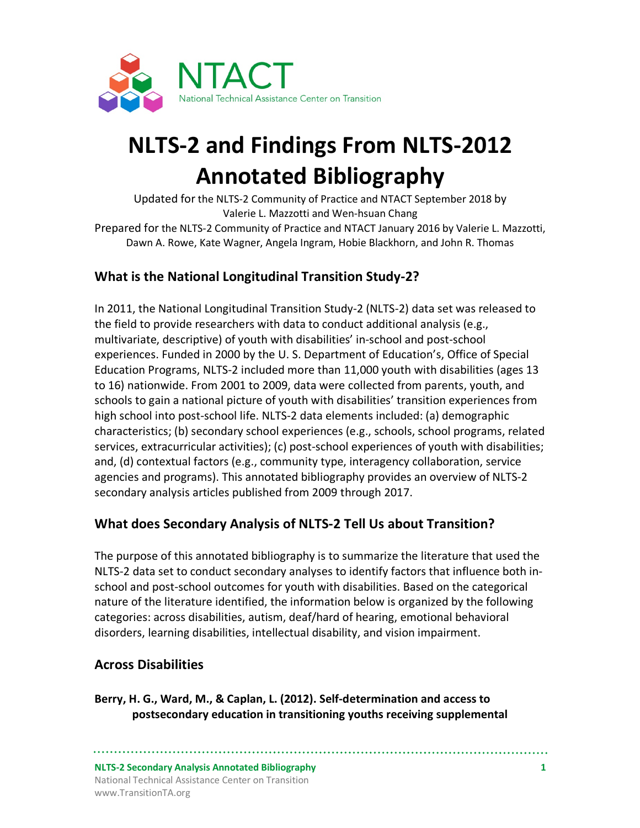

# **NLTS-2 and Findings From NLTS-2012 Annotated Bibliography**

Updated for the NLTS-2 Community of Practice and NTACT September 2018 by Valerie L. Mazzotti and Wen-hsuan Chang

Prepared for the NLTS-2 Community of Practice and NTACT January 2016 by Valerie L. Mazzotti, Dawn A. Rowe, Kate Wagner, Angela Ingram, Hobie Blackhorn, and John R. Thomas

# **What is the National Longitudinal Transition Study-2?**

In 2011, the National Longitudinal Transition Study-2 (NLTS-2) data set was released to the field to provide researchers with data to conduct additional analysis (e.g., multivariate, descriptive) of youth with disabilities' in-school and post-school experiences. Funded in 2000 by the U. S. Department of Education's, Office of Special Education Programs, NLTS-2 included more than 11,000 youth with disabilities (ages 13 to 16) nationwide. From 2001 to 2009, data were collected from parents, youth, and schools to gain a national picture of youth with disabilities' transition experiences from high school into post-school life. NLTS-2 data elements included: (a) demographic characteristics; (b) secondary school experiences (e.g., schools, school programs, related services, extracurricular activities); (c) post-school experiences of youth with disabilities; and, (d) contextual factors (e.g., community type, interagency collaboration, service agencies and programs). This annotated bibliography provides an overview of NLTS-2 secondary analysis articles published from 2009 through 2017.

# **What does Secondary Analysis of NLTS-2 Tell Us about Transition?**

The purpose of this annotated bibliography is to summarize the literature that used the NLTS-2 data set to conduct secondary analyses to identify factors that influence both inschool and post-school outcomes for youth with disabilities. Based on the categorical nature of the literature identified, the information below is organized by the following categories: across disabilities, autism, deaf/hard of hearing, emotional behavioral disorders, learning disabilities, intellectual disability, and vision impairment.

## **Across Disabilities**

**Berry, H. G., Ward, M., & Caplan, L. (2012). Self-determination and access to postsecondary education in transitioning youths receiving supplemental** 

**NLTS-2 Secondary Analysis Annotated Bibliography 1** National Technical Assistance Center on Transition www.TransitionTA.org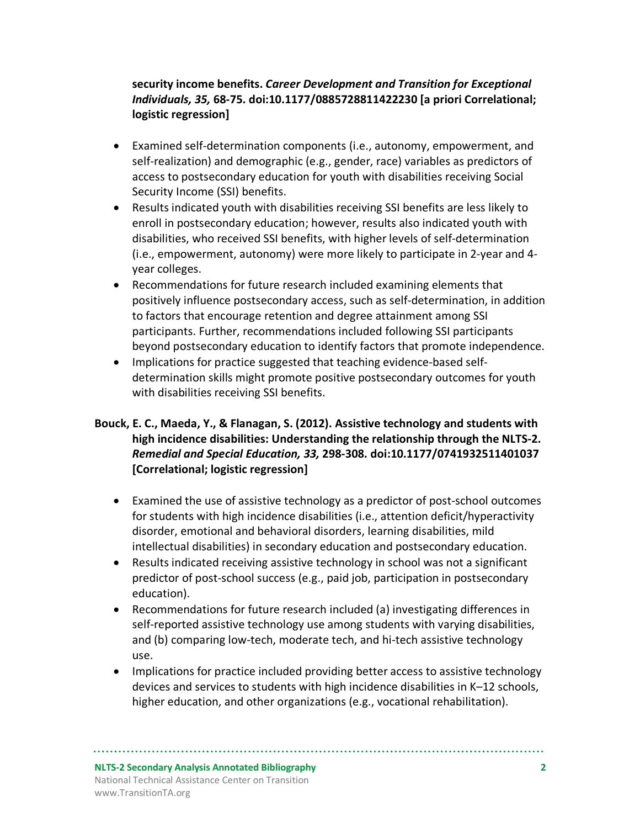#### **security income benefits.** *Career Development and Transition for Exceptional Individuals, 35,* **68-75. doi:10.1177/0885728811422230 [a priori Correlational; logistic regression]**

- Examined self-determination components (i.e., autonomy, empowerment, and self-realization) and demographic (e.g., gender, race) variables as predictors of access to postsecondary education for youth with disabilities receiving Social Security Income (SSI) benefits.
- Results indicated youth with disabilities receiving SSI benefits are less likely to enroll in postsecondary education; however, results also indicated youth with disabilities, who received SSI benefits, with higher levels of self-determination (i.e., empowerment, autonomy) were more likely to participate in 2-year and 4 year colleges.
- Recommendations for future research included examining elements that positively influence postsecondary access, such as self-determination, in addition to factors that encourage retention and degree attainment among SSI participants. Further, recommendations included following SSI participants beyond postsecondary education to identify factors that promote independence.
- Implications for practice suggested that teaching evidence-based selfdetermination skills might promote positive postsecondary outcomes for youth with disabilities receiving SSI benefits.

#### **Bouck, E. C., Maeda, Y., & Flanagan, S. (2012). Assistive technology and students with high incidence disabilities: Understanding the relationship through the NLTS-2.**  *Remedial and Special Education, 33,* **298-308***.* **doi:10.1177/0741932511401037 [Correlational; logistic regression]**

- Examined the use of assistive technology as a predictor of post-school outcomes for students with high incidence disabilities (i.e., attention deficit/hyperactivity disorder, emotional and behavioral disorders, learning disabilities, mild intellectual disabilities) in secondary education and postsecondary education.
- Results indicated receiving assistive technology in school was not a significant predictor of post-school success (e.g., paid job, participation in postsecondary education).
- Recommendations for future research included (a) investigating differences in self-reported assistive technology use among students with varying disabilities, and (b) comparing low-tech, moderate tech, and hi-tech assistive technology use.
- Implications for practice included providing better access to assistive technology devices and services to students with high incidence disabilities in K–12 schools, higher education, and other organizations (e.g., vocational rehabilitation).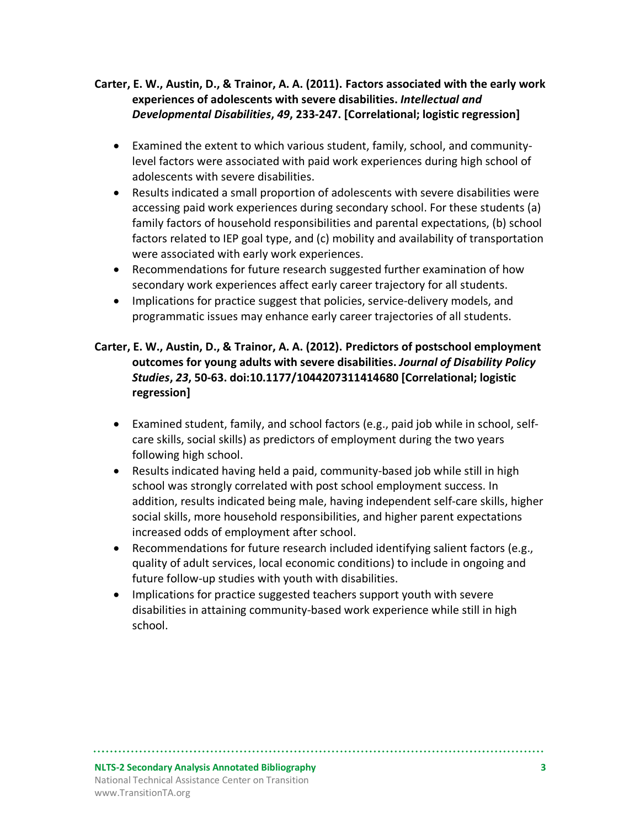#### **Carter, E. W., Austin, D., & Trainor, A. A. (2011). Factors associated with the early work experiences of adolescents with severe disabilities.** *Intellectual and Developmental Disabilities***,** *49***, 233-247. [Correlational; logistic regression]**

- Examined the extent to which various student, family, school, and communitylevel factors were associated with paid work experiences during high school of adolescents with severe disabilities.
- Results indicated a small proportion of adolescents with severe disabilities were accessing paid work experiences during secondary school. For these students (a) family factors of household responsibilities and parental expectations, (b) school factors related to IEP goal type, and (c) mobility and availability of transportation were associated with early work experiences.
- Recommendations for future research suggested further examination of how secondary work experiences affect early career trajectory for all students.
- Implications for practice suggest that policies, service-delivery models, and programmatic issues may enhance early career trajectories of all students.

#### **Carter, E. W., Austin, D., & Trainor, A. A. (2012). Predictors of postschool employment outcomes for young adults with severe disabilities.** *Journal of Disability Policy Studies***,** *23***, 50-63. doi:10.1177/1044207311414680 [Correlational; logistic regression]**

- Examined student, family, and school factors (e.g., paid job while in school, selfcare skills, social skills) as predictors of employment during the two years following high school.
- Results indicated having held a paid, community-based job while still in high school was strongly correlated with post school employment success. In addition, results indicated being male, having independent self-care skills, higher social skills, more household responsibilities, and higher parent expectations increased odds of employment after school.
- Recommendations for future research included identifying salient factors (e.g., quality of adult services, local economic conditions) to include in ongoing and future follow-up studies with youth with disabilities.
- Implications for practice suggested teachers support youth with severe disabilities in attaining community-based work experience while still in high school.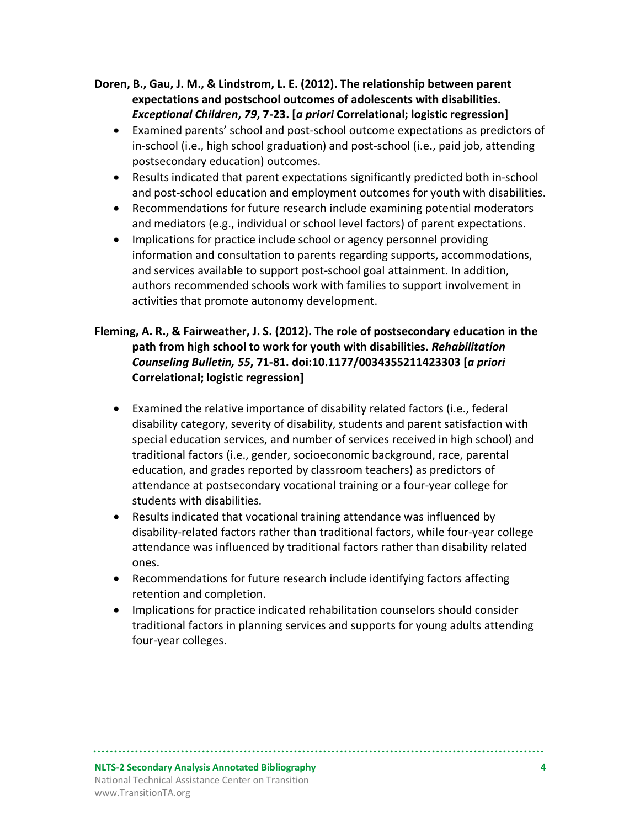#### **Doren, B., Gau, J. M., & Lindstrom, L. E. (2012). The relationship between parent expectations and postschool outcomes of adolescents with disabilities.**  *Exceptional Children***,** *79***, 7-23. [***a priori* **Correlational; logistic regression]**

- Examined parents' school and post-school outcome expectations as predictors of in-school (i.e., high school graduation) and post-school (i.e., paid job, attending postsecondary education) outcomes.
- Results indicated that parent expectations significantly predicted both in-school and post-school education and employment outcomes for youth with disabilities.
- Recommendations for future research include examining potential moderators and mediators (e.g., individual or school level factors) of parent expectations.
- Implications for practice include school or agency personnel providing information and consultation to parents regarding supports, accommodations, and services available to support post-school goal attainment. In addition, authors recommended schools work with families to support involvement in activities that promote autonomy development.

#### **Fleming, A. R., & Fairweather, J. S. (2012). The role of postsecondary education in the path from high school to work for youth with disabilities.** *Rehabilitation Counseling Bulletin, 55***, 71-81. doi:10.1177/0034355211423303 [***a priori* **Correlational; logistic regression]**

- Examined the relative importance of disability related factors (i.e., federal disability category, severity of disability, students and parent satisfaction with special education services, and number of services received in high school) and traditional factors (i.e., gender, socioeconomic background, race, parental education, and grades reported by classroom teachers) as predictors of attendance at postsecondary vocational training or a four-year college for students with disabilities.
- Results indicated that vocational training attendance was influenced by disability-related factors rather than traditional factors, while four-year college attendance was influenced by traditional factors rather than disability related ones.
- Recommendations for future research include identifying factors affecting retention and completion.
- Implications for practice indicated rehabilitation counselors should consider traditional factors in planning services and supports for young adults attending four-year colleges.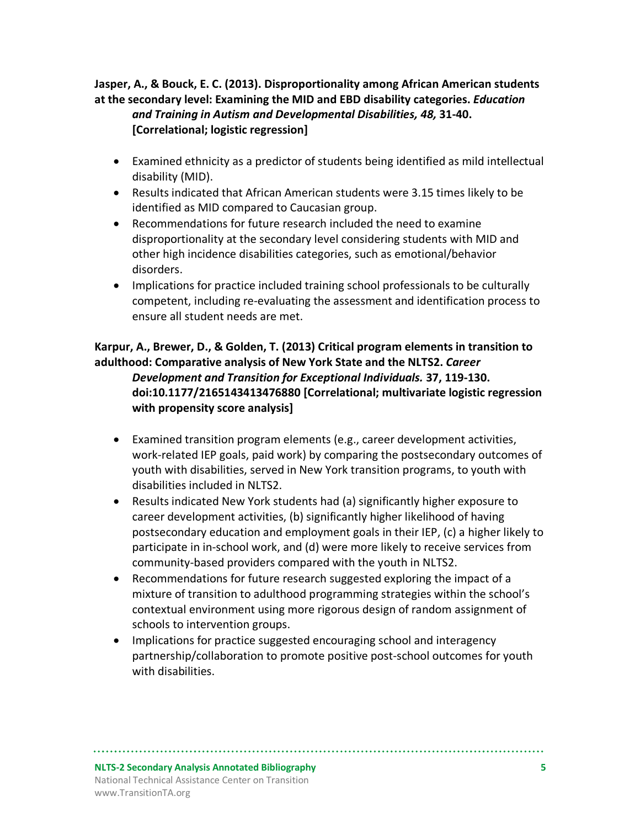**Jasper, A., & Bouck, E. C. (2013). Disproportionality among African American students at the secondary level: Examining the MID and EBD disability categories.** *Education and Training in Autism and Developmental Disabilities, 48,* **31-40. [Correlational; logistic regression]**

- Examined ethnicity as a predictor of students being identified as mild intellectual disability (MID).
- Results indicated that African American students were 3.15 times likely to be identified as MID compared to Caucasian group.
- Recommendations for future research included the need to examine disproportionality at the secondary level considering students with MID and other high incidence disabilities categories, such as emotional/behavior disorders.
- Implications for practice included training school professionals to be culturally competent, including re-evaluating the assessment and identification process to ensure all student needs are met.

#### **Karpur, A., Brewer, D., & Golden, T. (2013) Critical program elements in transition to adulthood: Comparative analysis of New York State and the NLTS2.** *Career Development and Transition for Exceptional Individuals.* **37, 119-130. doi:10.1177/2165143413476880 [Correlational; multivariate logistic regression with propensity score analysis]**

- Examined transition program elements (e.g., career development activities, work-related IEP goals, paid work) by comparing the postsecondary outcomes of youth with disabilities, served in New York transition programs, to youth with disabilities included in NLTS2.
- Results indicated New York students had (a) significantly higher exposure to career development activities, (b) significantly higher likelihood of having postsecondary education and employment goals in their IEP, (c) a higher likely to participate in in-school work, and (d) were more likely to receive services from community-based providers compared with the youth in NLTS2.
- Recommendations for future research suggested exploring the impact of a mixture of transition to adulthood programming strategies within the school's contextual environment using more rigorous design of random assignment of schools to intervention groups.
- Implications for practice suggested encouraging school and interagency partnership/collaboration to promote positive post-school outcomes for youth with disabilities.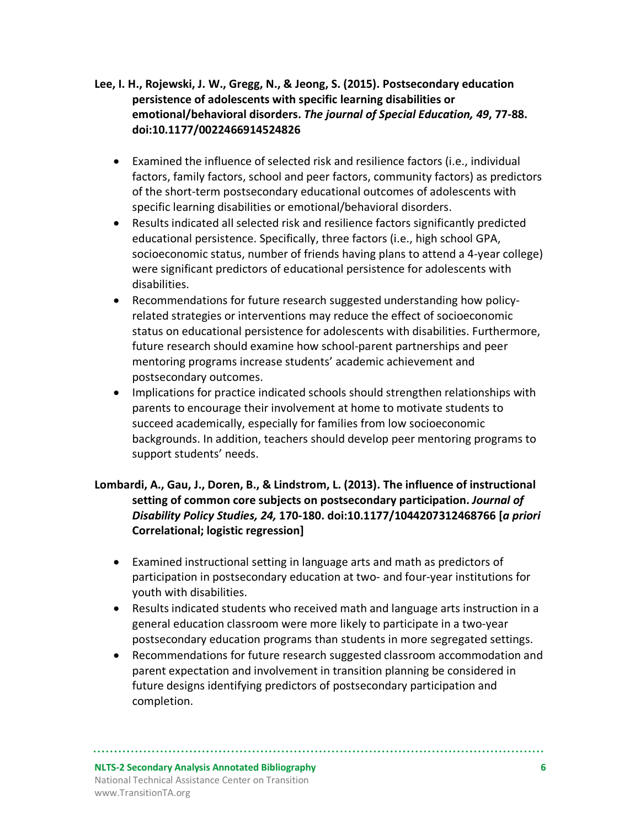- **Lee, I. H., Rojewski, J. W., Gregg, N., & Jeong, S. (2015). Postsecondary education persistence of adolescents with specific learning disabilities or emotional/behavioral disorders.** *The journal of Special Education, 49***, 77-88. doi:10.1177/0022466914524826**
	- Examined the influence of selected risk and resilience factors (i.e., individual factors, family factors, school and peer factors, community factors) as predictors of the short-term postsecondary educational outcomes of adolescents with specific learning disabilities or emotional/behavioral disorders.
	- Results indicated all selected risk and resilience factors significantly predicted educational persistence. Specifically, three factors (i.e., high school GPA, socioeconomic status, number of friends having plans to attend a 4-year college) were significant predictors of educational persistence for adolescents with disabilities.
	- Recommendations for future research suggested understanding how policyrelated strategies or interventions may reduce the effect of socioeconomic status on educational persistence for adolescents with disabilities. Furthermore, future research should examine how school-parent partnerships and peer mentoring programs increase students' academic achievement and postsecondary outcomes.
	- Implications for practice indicated schools should strengthen relationships with parents to encourage their involvement at home to motivate students to succeed academically, especially for families from low socioeconomic backgrounds. In addition, teachers should develop peer mentoring programs to support students' needs.

#### **Lombardi, A., Gau, J., Doren, B., & Lindstrom, L. (2013). The influence of instructional setting of common core subjects on postsecondary participation.** *Journal of Disability Policy Studies, 24,* **170-180. doi:10.1177/1044207312468766 [***a priori* **Correlational; logistic regression]**

- Examined instructional setting in language arts and math as predictors of participation in postsecondary education at two- and four-year institutions for youth with disabilities.
- Results indicated students who received math and language arts instruction in a general education classroom were more likely to participate in a two-year postsecondary education programs than students in more segregated settings.
- Recommendations for future research suggested classroom accommodation and parent expectation and involvement in transition planning be considered in future designs identifying predictors of postsecondary participation and completion.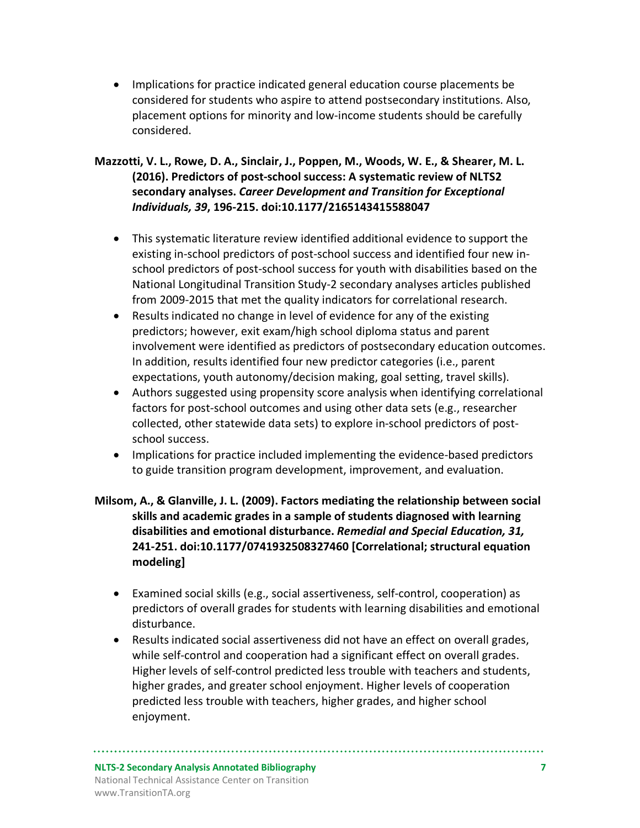- Implications for practice indicated general education course placements be considered for students who aspire to attend postsecondary institutions. Also, placement options for minority and low-income students should be carefully considered.
- **Mazzotti, V. L., Rowe, D. A., Sinclair, J., Poppen, M., Woods, W. E., & Shearer, M. L. (2016). Predictors of post-school success: A systematic review of NLTS2 secondary analyses.** *Career Development and Transition for Exceptional Individuals, 39***, 196-215. doi:10.1177/2165143415588047**
	- This systematic literature review identified additional evidence to support the existing in-school predictors of post-school success and identified four new inschool predictors of post-school success for youth with disabilities based on the National Longitudinal Transition Study-2 secondary analyses articles published from 2009-2015 that met the quality indicators for correlational research.
	- Results indicated no change in level of evidence for any of the existing predictors; however, exit exam/high school diploma status and parent involvement were identified as predictors of postsecondary education outcomes. In addition, results identified four new predictor categories (i.e., parent expectations, youth autonomy/decision making, goal setting, travel skills).
	- Authors suggested using propensity score analysis when identifying correlational factors for post-school outcomes and using other data sets (e.g., researcher collected, other statewide data sets) to explore in-school predictors of postschool success.
	- Implications for practice included implementing the evidence-based predictors to guide transition program development, improvement, and evaluation.

#### **Milsom, A., & Glanville, J. L. (2009). Factors mediating the relationship between social skills and academic grades in a sample of students diagnosed with learning disabilities and emotional disturbance.** *Remedial and Special Education, 31,*  **241-251. doi:10.1177/0741932508327460 [Correlational; structural equation modeling]**

- Examined social skills (e.g., social assertiveness, self-control, cooperation) as predictors of overall grades for students with learning disabilities and emotional disturbance.
- Results indicated social assertiveness did not have an effect on overall grades, while self-control and cooperation had a significant effect on overall grades. Higher levels of self-control predicted less trouble with teachers and students, higher grades, and greater school enjoyment. Higher levels of cooperation predicted less trouble with teachers, higher grades, and higher school enjoyment.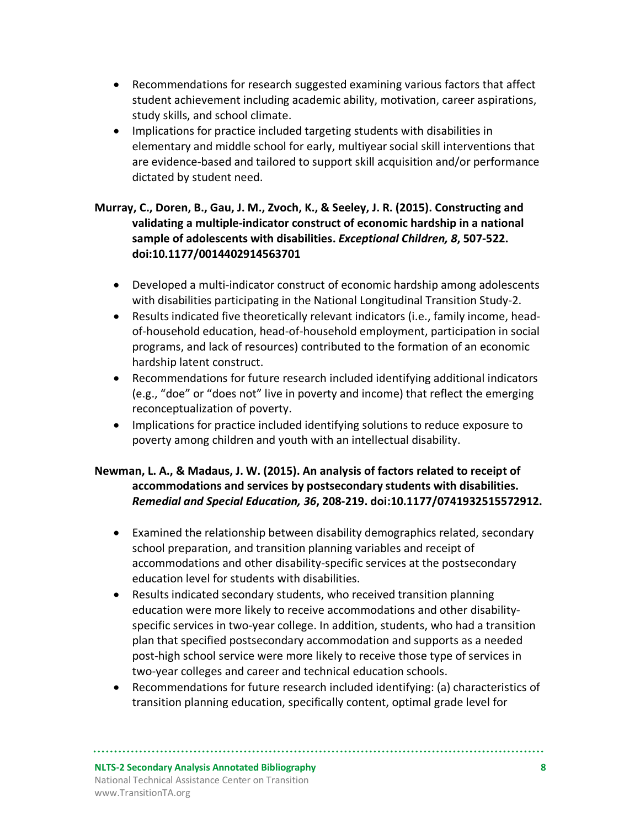- Recommendations for research suggested examining various factors that affect student achievement including academic ability, motivation, career aspirations, study skills, and school climate.
- Implications for practice included targeting students with disabilities in elementary and middle school for early, multiyear social skill interventions that are evidence-based and tailored to support skill acquisition and/or performance dictated by student need.

#### **Murray, C., Doren, B., Gau, J. M., Zvoch, K., & Seeley, J. R. (2015). Constructing and validating a multiple-indicator construct of economic hardship in a national sample of adolescents with disabilities.** *Exceptional Children, 8***, 507-522. doi:10.1177/0014402914563701**

- Developed a multi-indicator construct of economic hardship among adolescents with disabilities participating in the National Longitudinal Transition Study-2.
- Results indicated five theoretically relevant indicators (i.e., family income, headof-household education, head-of-household employment, participation in social programs, and lack of resources) contributed to the formation of an economic hardship latent construct.
- Recommendations for future research included identifying additional indicators (e.g., "doe" or "does not" live in poverty and income) that reflect the emerging reconceptualization of poverty.
- Implications for practice included identifying solutions to reduce exposure to poverty among children and youth with an intellectual disability.

#### **Newman, L. A., & Madaus, J. W. (2015). An analysis of factors related to receipt of accommodations and services by postsecondary students with disabilities.**  *Remedial and Special Education, 36***, 208-219. doi:10.1177/0741932515572912.**

- Examined the relationship between disability demographics related, secondary school preparation, and transition planning variables and receipt of accommodations and other disability-specific services at the postsecondary education level for students with disabilities.
- Results indicated secondary students, who received transition planning education were more likely to receive accommodations and other disabilityspecific services in two-year college. In addition, students, who had a transition plan that specified postsecondary accommodation and supports as a needed post-high school service were more likely to receive those type of services in two-year colleges and career and technical education schools.
- Recommendations for future research included identifying: (a) characteristics of transition planning education, specifically content, optimal grade level for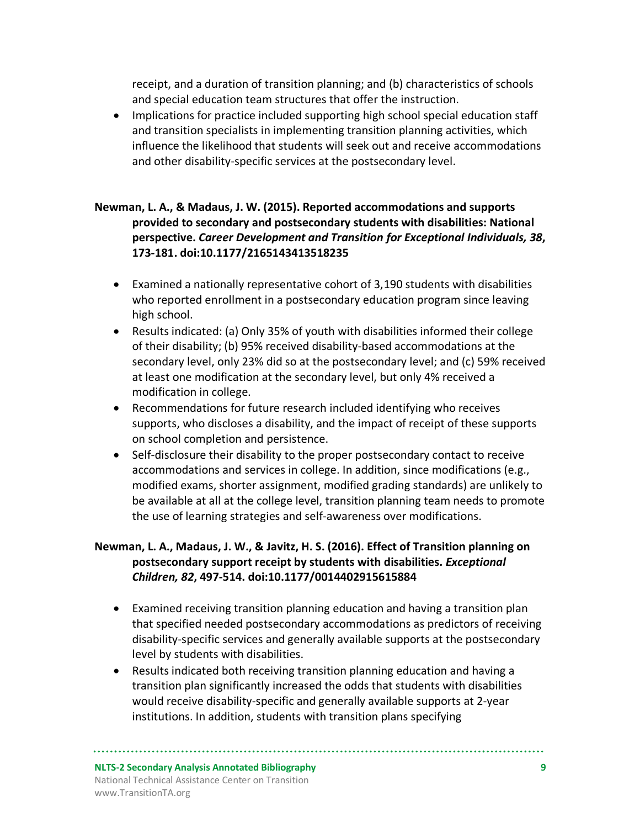receipt, and a duration of transition planning; and (b) characteristics of schools and special education team structures that offer the instruction.

• Implications for practice included supporting high school special education staff and transition specialists in implementing transition planning activities, which influence the likelihood that students will seek out and receive accommodations and other disability-specific services at the postsecondary level.

#### **Newman, L. A., & Madaus, J. W. (2015). Reported accommodations and supports provided to secondary and postsecondary students with disabilities: National perspective.** *Career Development and Transition for Exceptional Individuals, 38***, 173-181. doi:10.1177/2165143413518235**

- Examined a nationally representative cohort of 3,190 students with disabilities who reported enrollment in a postsecondary education program since leaving high school.
- Results indicated: (a) Only 35% of youth with disabilities informed their college of their disability; (b) 95% received disability-based accommodations at the secondary level, only 23% did so at the postsecondary level; and (c) 59% received at least one modification at the secondary level, but only 4% received a modification in college.
- Recommendations for future research included identifying who receives supports, who discloses a disability, and the impact of receipt of these supports on school completion and persistence.
- Self-disclosure their disability to the proper postsecondary contact to receive accommodations and services in college. In addition, since modifications (e.g., modified exams, shorter assignment, modified grading standards) are unlikely to be available at all at the college level, transition planning team needs to promote the use of learning strategies and self-awareness over modifications.

#### **Newman, L. A., Madaus, J. W., & Javitz, H. S. (2016). Effect of Transition planning on postsecondary support receipt by students with disabilities.** *Exceptional Children, 82***, 497-514. doi:10.1177/0014402915615884**

- Examined receiving transition planning education and having a transition plan that specified needed postsecondary accommodations as predictors of receiving disability-specific services and generally available supports at the postsecondary level by students with disabilities.
- Results indicated both receiving transition planning education and having a transition plan significantly increased the odds that students with disabilities would receive disability-specific and generally available supports at 2-year institutions. In addition, students with transition plans specifying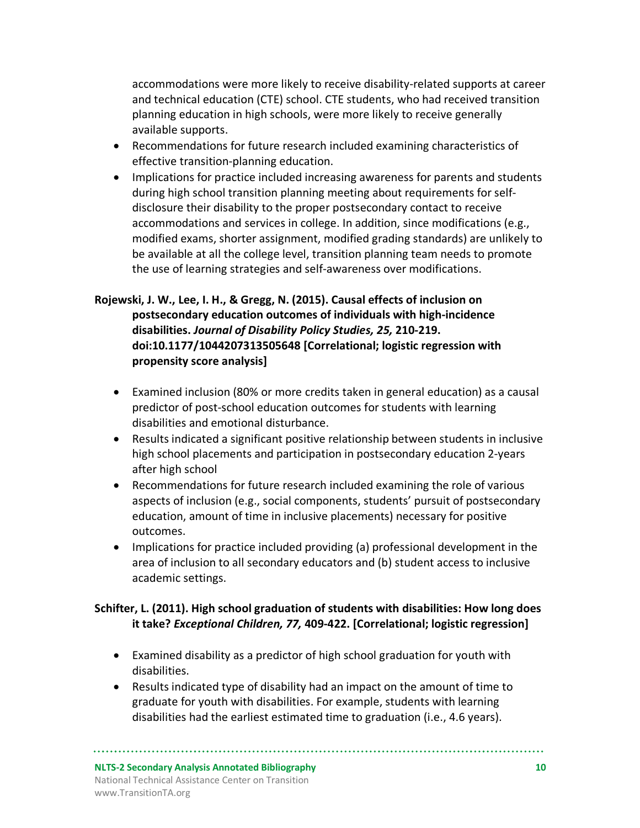accommodations were more likely to receive disability-related supports at career and technical education (CTE) school. CTE students, who had received transition planning education in high schools, were more likely to receive generally available supports.

- Recommendations for future research included examining characteristics of effective transition-planning education.
- Implications for practice included increasing awareness for parents and students during high school transition planning meeting about requirements for selfdisclosure their disability to the proper postsecondary contact to receive accommodations and services in college. In addition, since modifications (e.g., modified exams, shorter assignment, modified grading standards) are unlikely to be available at all the college level, transition planning team needs to promote the use of learning strategies and self-awareness over modifications.

#### **Rojewski, J. W., Lee, I. H., & Gregg, N. (2015). Causal effects of inclusion on postsecondary education outcomes of individuals with high-incidence disabilities.** *Journal of Disability Policy Studies, 25,* **210-219. doi:10.1177/1044207313505648 [Correlational; logistic regression with propensity score analysis]**

- Examined inclusion (80% or more credits taken in general education) as a causal predictor of post-school education outcomes for students with learning disabilities and emotional disturbance.
- Results indicated a significant positive relationship between students in inclusive high school placements and participation in postsecondary education 2-years after high school
- Recommendations for future research included examining the role of various aspects of inclusion (e.g., social components, students' pursuit of postsecondary education, amount of time in inclusive placements) necessary for positive outcomes.
- Implications for practice included providing (a) professional development in the area of inclusion to all secondary educators and (b) student access to inclusive academic settings.

#### **Schifter, L. (2011). High school graduation of students with disabilities: How long does it take?** *Exceptional Children, 77,* **409-422. [Correlational; logistic regression]**

- Examined disability as a predictor of high school graduation for youth with disabilities.
- Results indicated type of disability had an impact on the amount of time to graduate for youth with disabilities. For example, students with learning disabilities had the earliest estimated time to graduation (i.e., 4.6 years).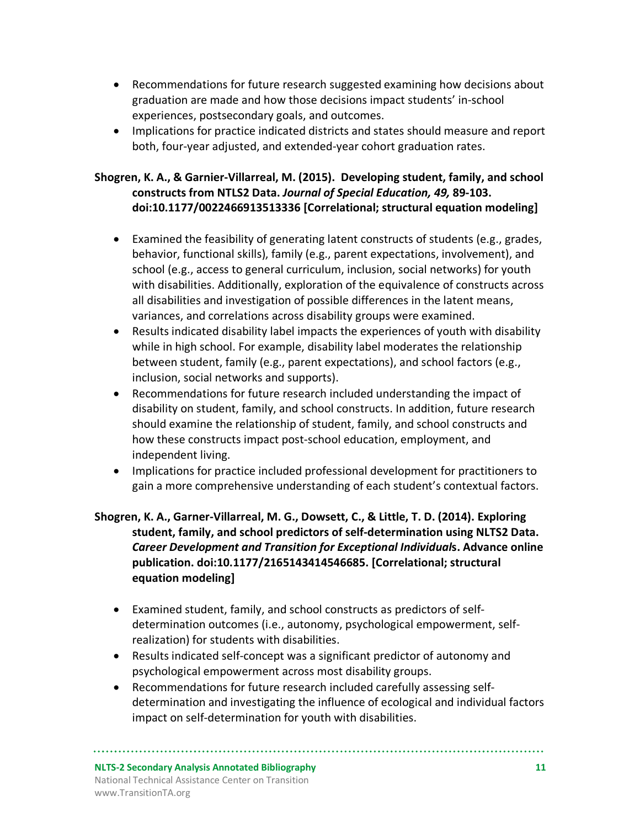- Recommendations for future research suggested examining how decisions about graduation are made and how those decisions impact students' in-school experiences, postsecondary goals, and outcomes.
- Implications for practice indicated districts and states should measure and report both, four-year adjusted, and extended-year cohort graduation rates.

#### **Shogren, K. A., & Garnier-Villarreal, M. (2015). Developing student, family, and school constructs from NTLS2 Data.** *Journal of Special Education, 49,* **89-103. doi:10.1177/0022466913513336 [Correlational; structural equation modeling]**

- Examined the feasibility of generating latent constructs of students (e.g., grades, behavior, functional skills), family (e.g., parent expectations, involvement), and school (e.g., access to general curriculum, inclusion, social networks) for youth with disabilities. Additionally, exploration of the equivalence of constructs across all disabilities and investigation of possible differences in the latent means, variances, and correlations across disability groups were examined.
- Results indicated disability label impacts the experiences of youth with disability while in high school. For example, disability label moderates the relationship between student, family (e.g., parent expectations), and school factors (e.g., inclusion, social networks and supports).
- Recommendations for future research included understanding the impact of disability on student, family, and school constructs. In addition, future research should examine the relationship of student, family, and school constructs and how these constructs impact post-school education, employment, and independent living.
- Implications for practice included professional development for practitioners to gain a more comprehensive understanding of each student's contextual factors.

#### **Shogren, K. A., Garner-Villarreal, M. G., Dowsett, C., & Little, T. D. (2014). Exploring student, family, and school predictors of self-determination using NLTS2 Data.**  *Career Development and Transition for Exceptional Individual***s. Advance online publication. doi:10.1177/2165143414546685. [Correlational; structural equation modeling]**

- Examined student, family, and school constructs as predictors of selfdetermination outcomes (i.e., autonomy, psychological empowerment, selfrealization) for students with disabilities.
- Results indicated self-concept was a significant predictor of autonomy and psychological empowerment across most disability groups.
- Recommendations for future research included carefully assessing selfdetermination and investigating the influence of ecological and individual factors impact on self-determination for youth with disabilities.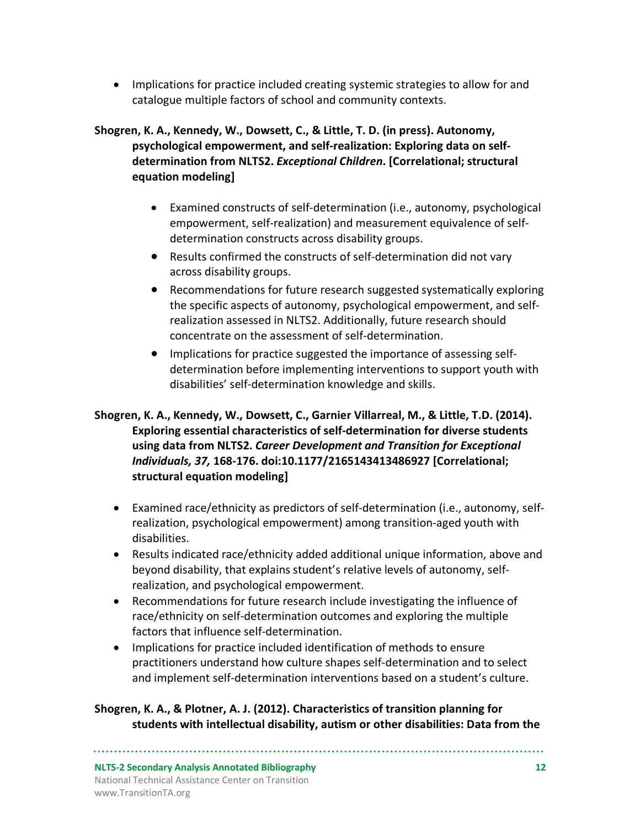• Implications for practice included creating systemic strategies to allow for and catalogue multiple factors of school and community contexts.

#### **Shogren, K. A., Kennedy, W., Dowsett, C., & Little, T. D. (in press). Autonomy, psychological empowerment, and self-realization: Exploring data on selfdetermination from NLTS2.** *Exceptional Children***. [Correlational; structural equation modeling]**

- Examined constructs of self-determination (i.e., autonomy, psychological empowerment, self-realization) and measurement equivalence of selfdetermination constructs across disability groups.
- Results confirmed the constructs of self-determination did not vary across disability groups.
- Recommendations for future research suggested systematically exploring the specific aspects of autonomy, psychological empowerment, and selfrealization assessed in NLTS2. Additionally, future research should concentrate on the assessment of self-determination.
- Implications for practice suggested the importance of assessing selfdetermination before implementing interventions to support youth with disabilities' self-determination knowledge and skills.

#### **Shogren, K. A., Kennedy, W., Dowsett, C., Garnier Villarreal, M., & Little, T.D. (2014). Exploring essential characteristics of self-determination for diverse students using data from NLTS2.** *Career Development and Transition for Exceptional Individuals, 37,* **168-176. doi:10.1177/2165143413486927 [Correlational; structural equation modeling]**

- Examined race/ethnicity as predictors of self-determination (i.e., autonomy, selfrealization, psychological empowerment) among transition-aged youth with disabilities.
- Results indicated race/ethnicity added additional unique information, above and beyond disability, that explains student's relative levels of autonomy, selfrealization, and psychological empowerment.
- Recommendations for future research include investigating the influence of race/ethnicity on self-determination outcomes and exploring the multiple factors that influence self-determination.
- Implications for practice included identification of methods to ensure practitioners understand how culture shapes self-determination and to select and implement self-determination interventions based on a student's culture.

#### **Shogren, K. A., & Plotner, A. J. (2012). Characteristics of transition planning for students with intellectual disability, autism or other disabilities: Data from the**

**NLTS-2 Secondary Analysis Annotated Bibliography 12** National Technical Assistance Center on Transition www.TransitionTA.org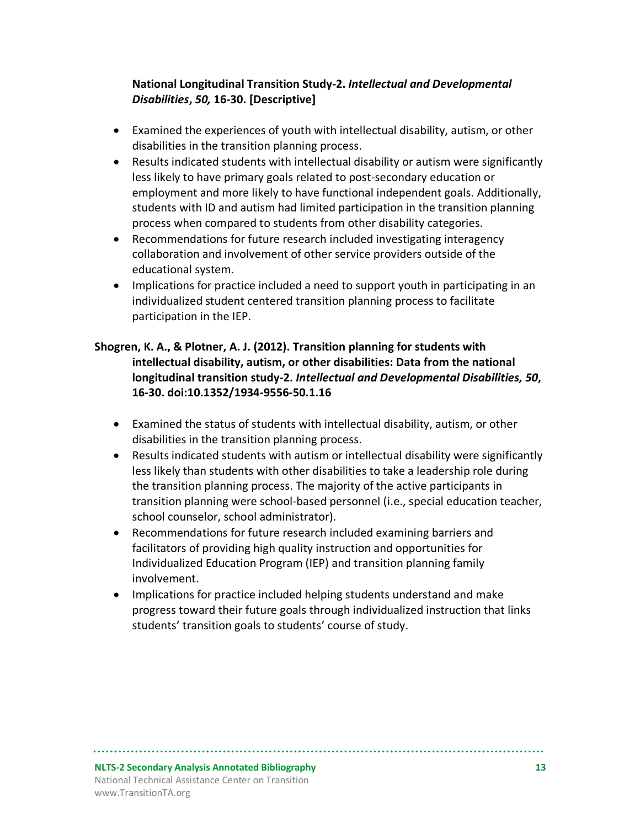#### **National Longitudinal Transition Study-2.** *Intellectual and Developmental Disabilities***,** *50,* **16-30. [Descriptive]**

- Examined the experiences of youth with intellectual disability, autism, or other disabilities in the transition planning process.
- Results indicated students with intellectual disability or autism were significantly less likely to have primary goals related to post-secondary education or employment and more likely to have functional independent goals. Additionally, students with ID and autism had limited participation in the transition planning process when compared to students from other disability categories.
- Recommendations for future research included investigating interagency collaboration and involvement of other service providers outside of the educational system.
- Implications for practice included a need to support youth in participating in an individualized student centered transition planning process to facilitate participation in the IEP.

#### **Shogren, K. A., & Plotner, A. J. (2012). Transition planning for students with intellectual disability, autism, or other disabilities: Data from the national longitudinal transition study-2.** *Intellectual and Developmental Disabilities, 50***, 16-30. doi:10.1352/1934-9556-50.1.16**

- Examined the status of students with intellectual disability, autism, or other disabilities in the transition planning process.
- Results indicated students with autism or intellectual disability were significantly less likely than students with other disabilities to take a leadership role during the transition planning process. The majority of the active participants in transition planning were school-based personnel (i.e., special education teacher, school counselor, school administrator).
- Recommendations for future research included examining barriers and facilitators of providing high quality instruction and opportunities for Individualized Education Program (IEP) and transition planning family involvement.
- Implications for practice included helping students understand and make progress toward their future goals through individualized instruction that links students' transition goals to students' course of study.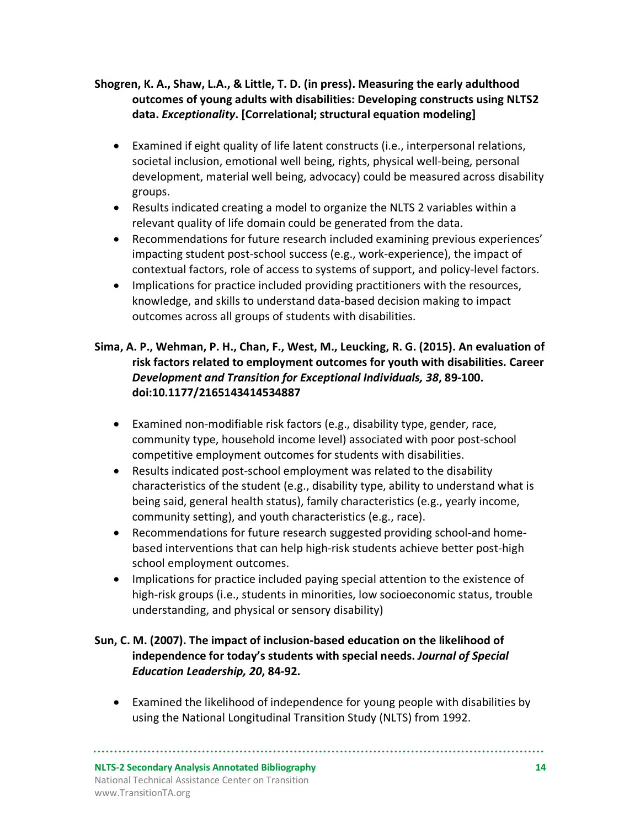#### **Shogren, K. A., Shaw, L.A., & Little, T. D. (in press). Measuring the early adulthood outcomes of young adults with disabilities: Developing constructs using NLTS2 data.** *Exceptionality***. [Correlational; structural equation modeling]**

- Examined if eight quality of life latent constructs (i.e., interpersonal relations, societal inclusion, emotional well being, rights, physical well-being, personal development, material well being, advocacy) could be measured across disability groups.
- Results indicated creating a model to organize the NLTS 2 variables within a relevant quality of life domain could be generated from the data.
- Recommendations for future research included examining previous experiences' impacting student post-school success (e.g., work-experience), the impact of contextual factors, role of access to systems of support, and policy-level factors.
- Implications for practice included providing practitioners with the resources, knowledge, and skills to understand data-based decision making to impact outcomes across all groups of students with disabilities.

#### **Sima, A. P., Wehman, P. H., Chan, F., West, M., Leucking, R. G. (2015). An evaluation of risk factors related to employment outcomes for youth with disabilities. Career**  *Development and Transition for Exceptional Individuals, 38***, 89-100. doi:10.1177/2165143414534887**

- Examined non-modifiable risk factors (e.g., disability type, gender, race, community type, household income level) associated with poor post-school competitive employment outcomes for students with disabilities.
- Results indicated post-school employment was related to the disability characteristics of the student (e.g., disability type, ability to understand what is being said, general health status), family characteristics (e.g., yearly income, community setting), and youth characteristics (e.g., race).
- Recommendations for future research suggested providing school-and homebased interventions that can help high-risk students achieve better post-high school employment outcomes.
- Implications for practice included paying special attention to the existence of high-risk groups (i.e., students in minorities, low socioeconomic status, trouble understanding, and physical or sensory disability)

#### **Sun, C. M. (2007). The impact of inclusion-based education on the likelihood of independence for today's students with special needs.** *Journal of Special Education Leadership, 20***, 84-92.**

• Examined the likelihood of independence for young people with disabilities by using the National Longitudinal Transition Study (NLTS) from 1992.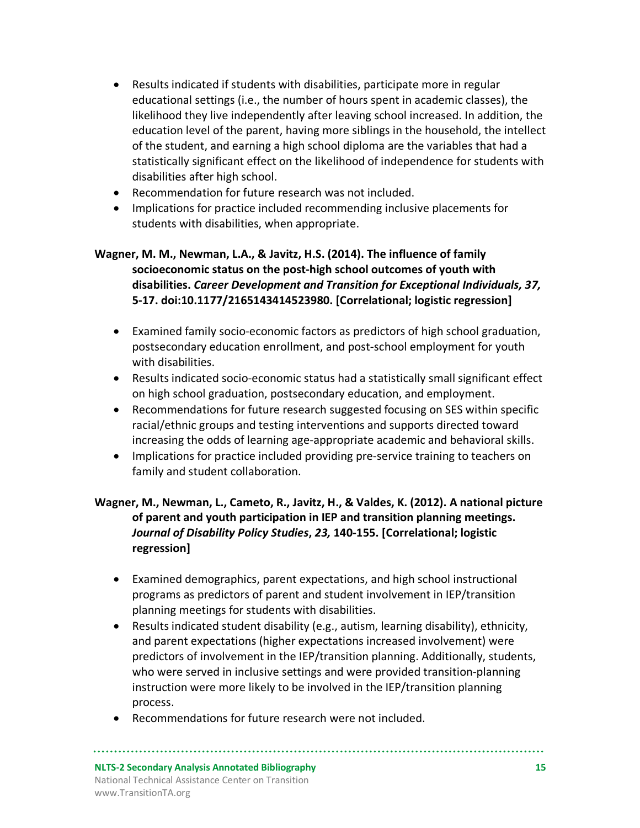- Results indicated if students with disabilities, participate more in regular educational settings (i.e., the number of hours spent in academic classes), the likelihood they live independently after leaving school increased. In addition, the education level of the parent, having more siblings in the household, the intellect of the student, and earning a high school diploma are the variables that had a statistically significant effect on the likelihood of independence for students with disabilities after high school.
- Recommendation for future research was not included.
- Implications for practice included recommending inclusive placements for students with disabilities, when appropriate.

#### **Wagner, M. M., Newman, L.A., & Javitz, H.S. (2014). The influence of family socioeconomic status on the post-high school outcomes of youth with disabilities.** *Career Development and Transition for Exceptional Individuals, 37,*  **5-17. doi:10.1177/2165143414523980. [Correlational; logistic regression]**

- Examined family socio-economic factors as predictors of high school graduation, postsecondary education enrollment, and post-school employment for youth with disabilities.
- Results indicated socio-economic status had a statistically small significant effect on high school graduation, postsecondary education, and employment.
- Recommendations for future research suggested focusing on SES within specific racial/ethnic groups and testing interventions and supports directed toward increasing the odds of learning age-appropriate academic and behavioral skills.
- Implications for practice included providing pre-service training to teachers on family and student collaboration.

#### **Wagner, M., Newman, L., Cameto, R., Javitz, H., & Valdes, K. (2012). A national picture of parent and youth participation in IEP and transition planning meetings.**  *Journal of Disability Policy Studies***,** *23,* **140-155. [Correlational; logistic regression]**

- Examined demographics, parent expectations, and high school instructional programs as predictors of parent and student involvement in IEP/transition planning meetings for students with disabilities.
- Results indicated student disability (e.g., autism, learning disability), ethnicity, and parent expectations (higher expectations increased involvement) were predictors of involvement in the IEP/transition planning. Additionally, students, who were served in inclusive settings and were provided transition-planning instruction were more likely to be involved in the IEP/transition planning process.
- Recommendations for future research were not included.

#### **NLTS-2 Secondary Analysis Annotated Bibliography 15** National Technical Assistance Center on Transition www.TransitionTA.org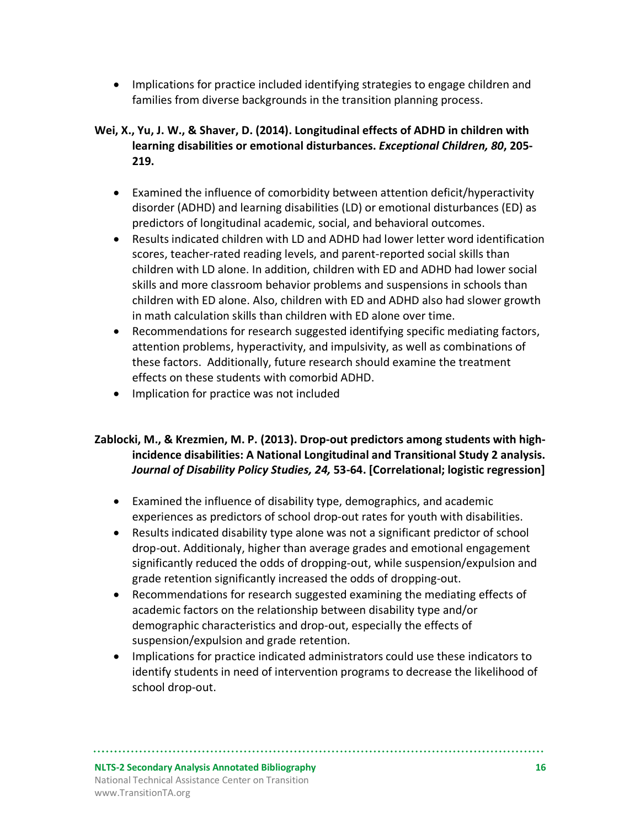• Implications for practice included identifying strategies to engage children and families from diverse backgrounds in the transition planning process.

**Wei, X., Yu, J. W., & Shaver, D. (2014). Longitudinal effects of ADHD in children with learning disabilities or emotional disturbances.** *Exceptional Children, 80***, 205- 219.** 

- Examined the influence of comorbidity between attention deficit/hyperactivity disorder (ADHD) and learning disabilities (LD) or emotional disturbances (ED) as predictors of longitudinal academic, social, and behavioral outcomes.
- Results indicated children with LD and ADHD had lower letter word identification scores, teacher-rated reading levels, and parent-reported social skills than children with LD alone. In addition, children with ED and ADHD had lower social skills and more classroom behavior problems and suspensions in schools than children with ED alone. Also, children with ED and ADHD also had slower growth in math calculation skills than children with ED alone over time.
- Recommendations for research suggested identifying specific mediating factors, attention problems, hyperactivity, and impulsivity, as well as combinations of these factors. Additionally, future research should examine the treatment effects on these students with comorbid ADHD.
- Implication for practice was not included

#### **Zablocki, M., & Krezmien, M. P. (2013). Drop-out predictors among students with highincidence disabilities: A National Longitudinal and Transitional Study 2 analysis.**  *Journal of Disability Policy Studies, 24,* **53-64. [Correlational; logistic regression]**

- Examined the influence of disability type, demographics, and academic experiences as predictors of school drop-out rates for youth with disabilities.
- Results indicated disability type alone was not a significant predictor of school drop-out. Additionaly, higher than average grades and emotional engagement significantly reduced the odds of dropping-out, while suspension/expulsion and grade retention significantly increased the odds of dropping-out.
- Recommendations for research suggested examining the mediating effects of academic factors on the relationship between disability type and/or demographic characteristics and drop-out, especially the effects of suspension/expulsion and grade retention.
- Implications for practice indicated administrators could use these indicators to identify students in need of intervention programs to decrease the likelihood of school drop-out.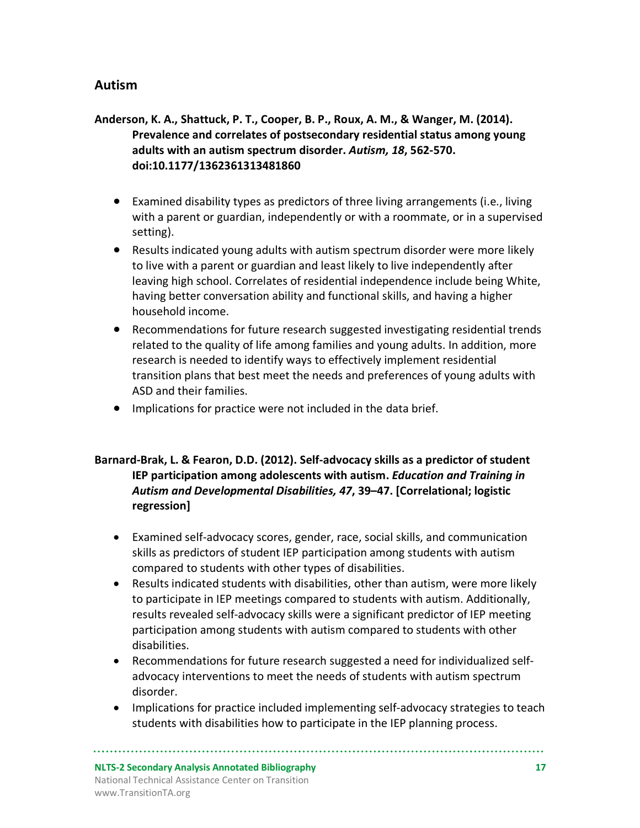## **Autism**

#### **Anderson, K. A., Shattuck, P. T., Cooper, B. P., Roux, A. M., & Wanger, M. (2014). Prevalence and correlates of postsecondary residential status among young adults with an autism spectrum disorder.** *Autism, 18***, 562-570. doi:10.1177/1362361313481860**

- Examined disability types as predictors of three living arrangements (i.e., living with a parent or guardian, independently or with a roommate, or in a supervised setting).
- Results indicated young adults with autism spectrum disorder were more likely to live with a parent or guardian and least likely to live independently after leaving high school. Correlates of residential independence include being White, having better conversation ability and functional skills, and having a higher household income.
- Recommendations for future research suggested investigating residential trends related to the quality of life among families and young adults. In addition, more research is needed to identify ways to effectively implement residential transition plans that best meet the needs and preferences of young adults with ASD and their families.
- Implications for practice were not included in the data brief.

#### **Barnard-Brak, L. & Fearon, D.D. (2012). Self-advocacy skills as a predictor of student IEP participation among adolescents with autism.** *Education and Training in Autism and Developmental Disabilities, 47***, 39–47. [Correlational; logistic regression]**

- Examined self-advocacy scores, gender, race, social skills, and communication skills as predictors of student IEP participation among students with autism compared to students with other types of disabilities.
- Results indicated students with disabilities, other than autism, were more likely to participate in IEP meetings compared to students with autism. Additionally, results revealed self-advocacy skills were a significant predictor of IEP meeting participation among students with autism compared to students with other disabilities.
- Recommendations for future research suggested a need for individualized selfadvocacy interventions to meet the needs of students with autism spectrum disorder.
- Implications for practice included implementing self-advocacy strategies to teach students with disabilities how to participate in the IEP planning process.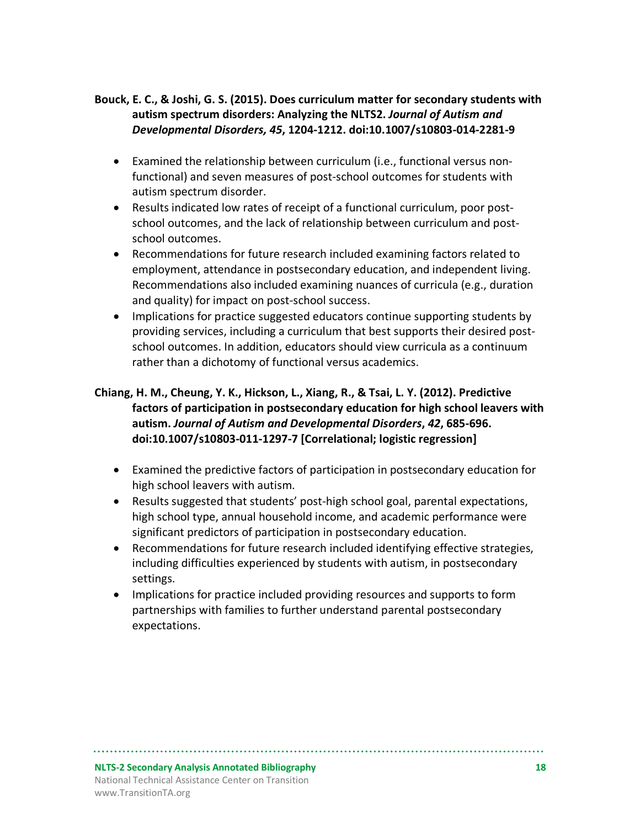#### **Bouck, E. C., & Joshi, G. S. (2015). Does curriculum matter for secondary students with autism spectrum disorders: Analyzing the NLTS2.** *Journal of Autism and Developmental Disorders, 45***, 1204-1212. doi:10.1007/s10803-014-2281-9**

- Examined the relationship between curriculum (i.e., functional versus nonfunctional) and seven measures of post-school outcomes for students with autism spectrum disorder.
- Results indicated low rates of receipt of a functional curriculum, poor postschool outcomes, and the lack of relationship between curriculum and postschool outcomes.
- Recommendations for future research included examining factors related to employment, attendance in postsecondary education, and independent living. Recommendations also included examining nuances of curricula (e.g., duration and quality) for impact on post-school success.
- Implications for practice suggested educators continue supporting students by providing services, including a curriculum that best supports their desired postschool outcomes. In addition, educators should view curricula as a continuum rather than a dichotomy of functional versus academics.

#### **Chiang, H. M., Cheung, Y. K., Hickson, L., Xiang, R., & Tsai, L. Y. (2012). Predictive factors of participation in postsecondary education for high school leavers with autism.** *Journal of Autism and Developmental Disorders***,** *42***, 685-696. doi:10.1007/s10803-011-1297-7 [Correlational; logistic regression]**

- Examined the predictive factors of participation in postsecondary education for high school leavers with autism.
- Results suggested that students' post-high school goal, parental expectations, high school type, annual household income, and academic performance were significant predictors of participation in postsecondary education.
- Recommendations for future research included identifying effective strategies, including difficulties experienced by students with autism, in postsecondary settings.
- Implications for practice included providing resources and supports to form partnerships with families to further understand parental postsecondary expectations.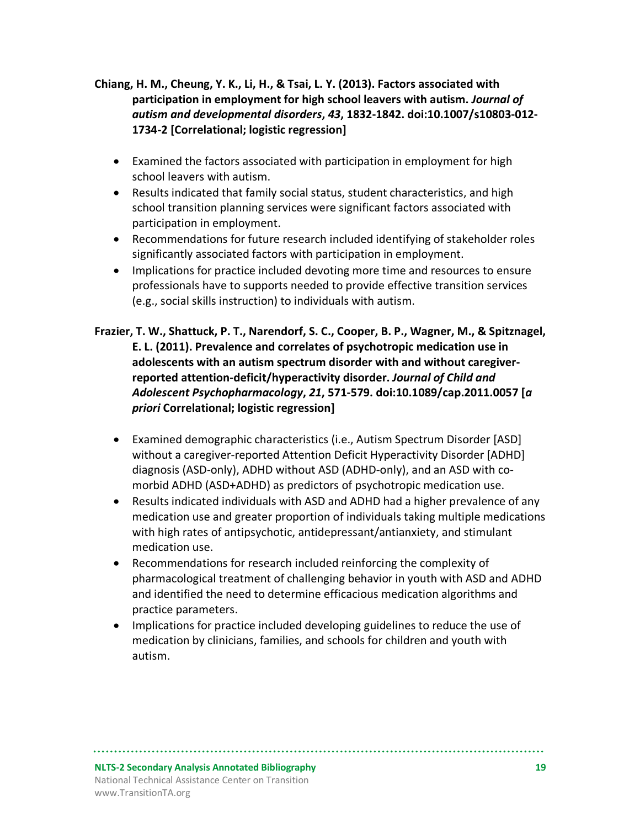**Chiang, H. M., Cheung, Y. K., Li, H., & Tsai, L. Y. (2013). Factors associated with participation in employment for high school leavers with autism.** *Journal of autism and developmental disorders***,** *43***, 1832-1842. doi:10.1007/s10803-012- 1734-2 [Correlational; logistic regression]**

- Examined the factors associated with participation in employment for high school leavers with autism.
- Results indicated that family social status, student characteristics, and high school transition planning services were significant factors associated with participation in employment.
- Recommendations for future research included identifying of stakeholder roles significantly associated factors with participation in employment.
- Implications for practice included devoting more time and resources to ensure professionals have to supports needed to provide effective transition services (e.g., social skills instruction) to individuals with autism.
- **Frazier, T. W., Shattuck, P. T., Narendorf, S. C., Cooper, B. P., Wagner, M., & Spitznagel, E. L. (2011). Prevalence and correlates of psychotropic medication use in adolescents with an autism spectrum disorder with and without caregiverreported attention-deficit/hyperactivity disorder.** *Journal of Child and Adolescent Psychopharmacology***,** *21***, 571-579. doi:10.1089/cap.2011.0057 [***a priori* **Correlational; logistic regression]**
	- Examined demographic characteristics (i.e., Autism Spectrum Disorder [ASD] without a caregiver-reported Attention Deficit Hyperactivity Disorder [ADHD] diagnosis (ASD-only), ADHD without ASD (ADHD-only), and an ASD with comorbid ADHD (ASD+ADHD) as predictors of psychotropic medication use.
	- Results indicated individuals with ASD and ADHD had a higher prevalence of any medication use and greater proportion of individuals taking multiple medications with high rates of antipsychotic, antidepressant/antianxiety, and stimulant medication use.
	- Recommendations for research included reinforcing the complexity of pharmacological treatment of challenging behavior in youth with ASD and ADHD and identified the need to determine efficacious medication algorithms and practice parameters.
	- Implications for practice included developing guidelines to reduce the use of medication by clinicians, families, and schools for children and youth with autism.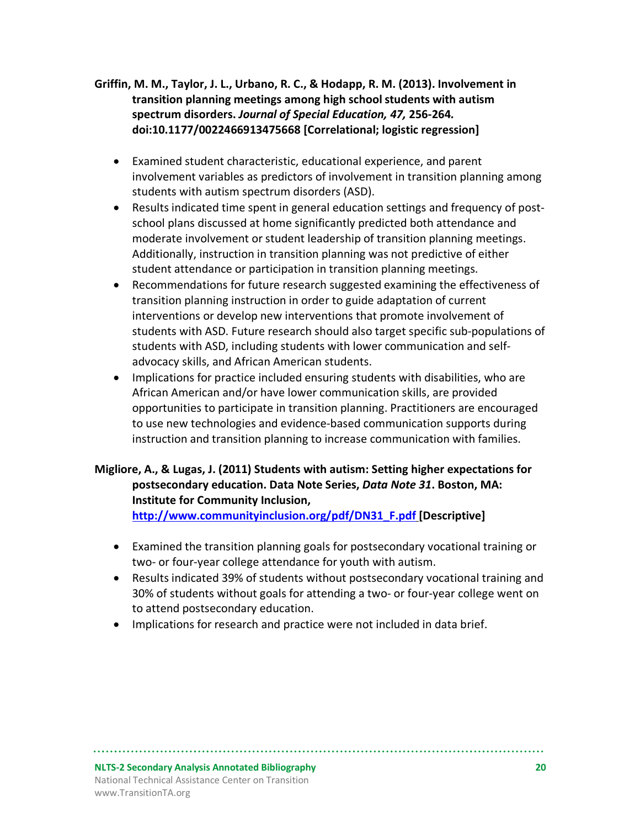- **Griffin, M. M., Taylor, J. L., Urbano, R. C., & Hodapp, R. M. (2013). Involvement in transition planning meetings among high school students with autism spectrum disorders.** *Journal of Special Education, 47,* **256-264***.*  **doi:10.1177/0022466913475668 [Correlational; logistic regression]**
	- Examined student characteristic, educational experience, and parent involvement variables as predictors of involvement in transition planning among students with autism spectrum disorders (ASD).
	- Results indicated time spent in general education settings and frequency of postschool plans discussed at home significantly predicted both attendance and moderate involvement or student leadership of transition planning meetings. Additionally, instruction in transition planning was not predictive of either student attendance or participation in transition planning meetings.
	- Recommendations for future research suggested examining the effectiveness of transition planning instruction in order to guide adaptation of current interventions or develop new interventions that promote involvement of students with ASD. Future research should also target specific sub-populations of students with ASD, including students with lower communication and selfadvocacy skills, and African American students.
	- Implications for practice included ensuring students with disabilities, who are African American and/or have lower communication skills, are provided opportunities to participate in transition planning. Practitioners are encouraged to use new technologies and evidence-based communication supports during instruction and transition planning to increase communication with families.

#### **Migliore, A., & Lugas, J. (2011) Students with autism: Setting higher expectations for postsecondary education. Data Note Series,** *Data Note 31***. Boston, MA: Institute for Community Inclusion, http://www.communityinclusion.org/pdf/DN31\_F.pdf [Descriptive]**

• Examined the transition planning goals for postsecondary vocational training or two- or four-year college attendance for youth with autism.

- Results indicated 39% of students without postsecondary vocational training and 30% of students without goals for attending a two- or four-year college went on to attend postsecondary education.
- Implications for research and practice were not included in data brief.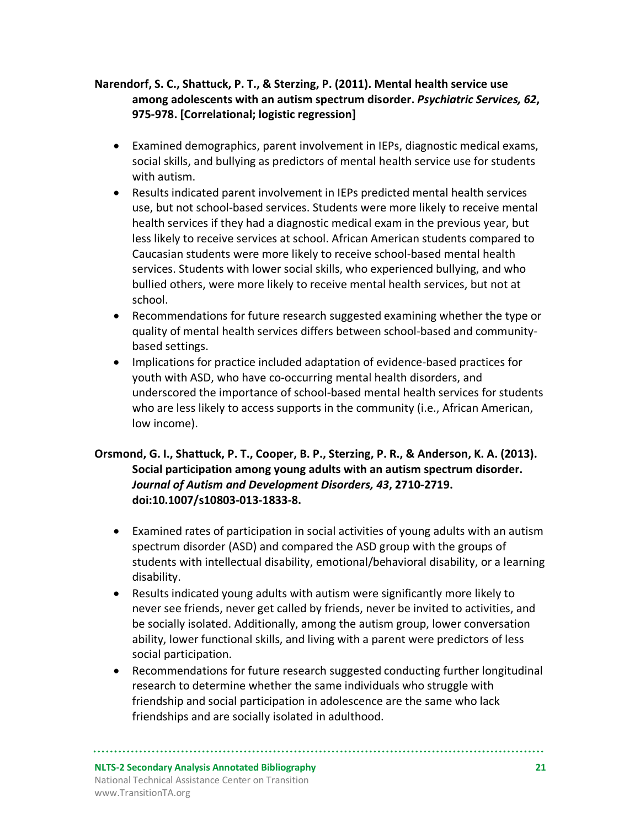#### **Narendorf, S. C., Shattuck, P. T., & Sterzing, P. (2011). Mental health service use among adolescents with an autism spectrum disorder.** *Psychiatric Services, 62***, 975-978. [Correlational; logistic regression]**

- Examined demographics, parent involvement in IEPs, diagnostic medical exams, social skills, and bullying as predictors of mental health service use for students with autism.
- Results indicated parent involvement in IEPs predicted mental health services use, but not school-based services. Students were more likely to receive mental health services if they had a diagnostic medical exam in the previous year, but less likely to receive services at school. African American students compared to Caucasian students were more likely to receive school-based mental health services. Students with lower social skills, who experienced bullying, and who bullied others, were more likely to receive mental health services, but not at school.
- Recommendations for future research suggested examining whether the type or quality of mental health services differs between school-based and communitybased settings.
- Implications for practice included adaptation of evidence-based practices for youth with ASD, who have co-occurring mental health disorders, and underscored the importance of school-based mental health services for students who are less likely to access supports in the community (i.e., African American, low income).

#### **Orsmond, G. I., Shattuck, P. T., Cooper, B. P., Sterzing, P. R., & Anderson, K. A. (2013). Social participation among young adults with an autism spectrum disorder.**  *Journal of Autism and Development Disorders, 43***, 2710-2719. doi:10.1007/s10803-013-1833-8.**

- Examined rates of participation in social activities of young adults with an autism spectrum disorder (ASD) and compared the ASD group with the groups of students with intellectual disability, emotional/behavioral disability, or a learning disability.
- Results indicated young adults with autism were significantly more likely to never see friends, never get called by friends, never be invited to activities, and be socially isolated. Additionally, among the autism group, lower conversation ability, lower functional skills, and living with a parent were predictors of less social participation.
- Recommendations for future research suggested conducting further longitudinal research to determine whether the same individuals who struggle with friendship and social participation in adolescence are the same who lack friendships and are socially isolated in adulthood.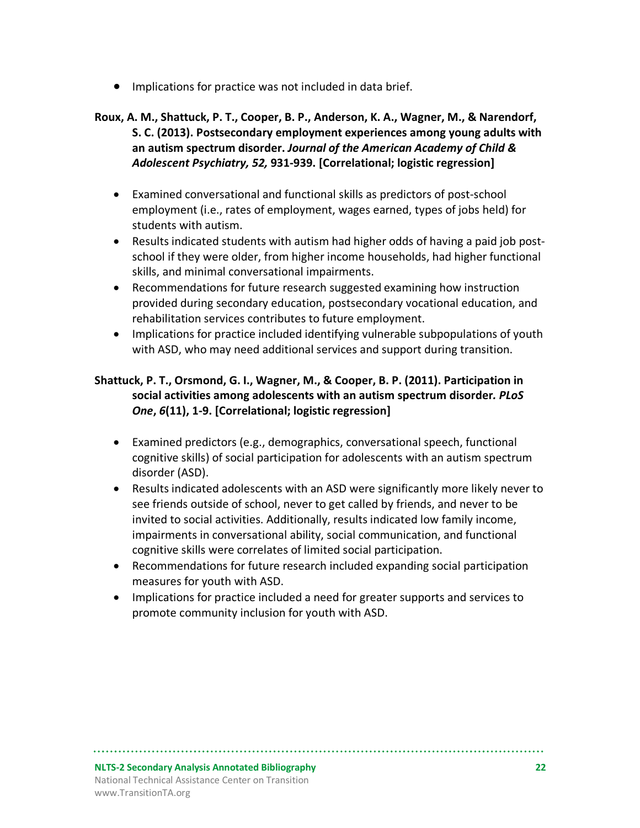• Implications for practice was not included in data brief.

#### **Roux, A. M., Shattuck, P. T., Cooper, B. P., Anderson, K. A., Wagner, M., & Narendorf, S. C. (2013). Postsecondary employment experiences among young adults with an autism spectrum disorder.** *Journal of the American Academy of Child & Adolescent Psychiatry, 52,* **931-939. [Correlational; logistic regression]**

- Examined conversational and functional skills as predictors of post-school employment (i.e., rates of employment, wages earned, types of jobs held) for students with autism.
- Results indicated students with autism had higher odds of having a paid job postschool if they were older, from higher income households, had higher functional skills, and minimal conversational impairments.
- Recommendations for future research suggested examining how instruction provided during secondary education, postsecondary vocational education, and rehabilitation services contributes to future employment.
- Implications for practice included identifying vulnerable subpopulations of youth with ASD, who may need additional services and support during transition.

#### **Shattuck, P. T., Orsmond, G. I., Wagner, M., & Cooper, B. P. (2011). Participation in social activities among adolescents with an autism spectrum disorder***. PLoS One***,** *6***(11), 1-9. [Correlational; logistic regression]**

- Examined predictors (e.g., demographics, conversational speech, functional cognitive skills) of social participation for adolescents with an autism spectrum disorder (ASD).
- Results indicated adolescents with an ASD were significantly more likely never to see friends outside of school, never to get called by friends, and never to be invited to social activities. Additionally, results indicated low family income, impairments in conversational ability, social communication, and functional cognitive skills were correlates of limited social participation.
- Recommendations for future research included expanding social participation measures for youth with ASD.
- Implications for practice included a need for greater supports and services to promote community inclusion for youth with ASD.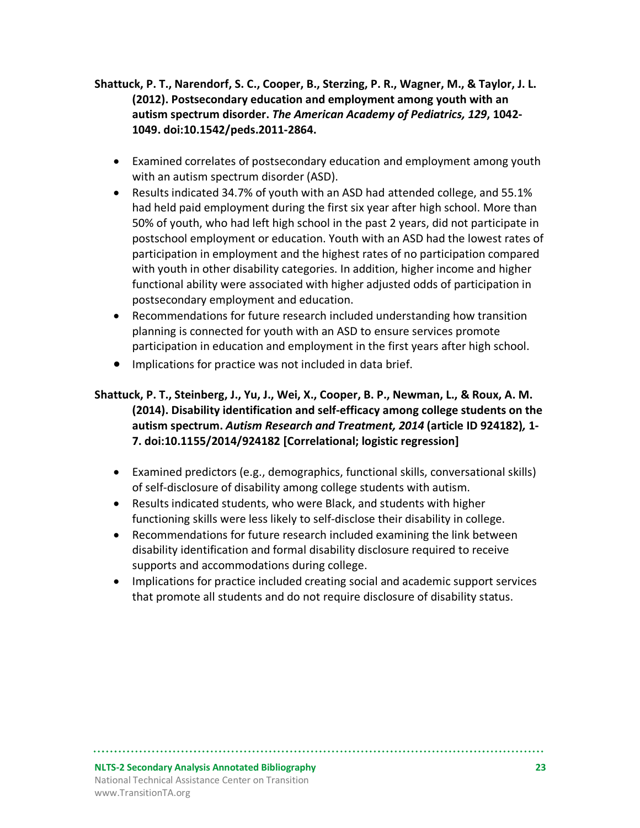- **Shattuck, P. T., Narendorf, S. C., Cooper, B., Sterzing, P. R., Wagner, M., & Taylor, J. L. (2012). Postsecondary education and employment among youth with an autism spectrum disorder.** *The American Academy of Pediatrics, 129***, 1042- 1049. doi:10.1542/peds.2011-2864.** 
	- Examined correlates of postsecondary education and employment among youth with an autism spectrum disorder (ASD).
	- Results indicated 34.7% of youth with an ASD had attended college, and 55.1% had held paid employment during the first six year after high school. More than 50% of youth, who had left high school in the past 2 years, did not participate in postschool employment or education. Youth with an ASD had the lowest rates of participation in employment and the highest rates of no participation compared with youth in other disability categories. In addition, higher income and higher functional ability were associated with higher adjusted odds of participation in postsecondary employment and education.
	- Recommendations for future research included understanding how transition planning is connected for youth with an ASD to ensure services promote participation in education and employment in the first years after high school.
	- Implications for practice was not included in data brief.

#### **Shattuck, P. T., Steinberg, J., Yu, J., Wei, X., Cooper, B. P., Newman, L., & Roux, A. M. (2014). Disability identification and self-efficacy among college students on the autism spectrum.** *Autism Research and Treatment, 2014* **(article ID 924182)***,* **1- 7. doi:10.1155/2014/924182 [Correlational; logistic regression]**

- Examined predictors (e.g., demographics, functional skills, conversational skills) of self-disclosure of disability among college students with autism.
- Results indicated students, who were Black, and students with higher functioning skills were less likely to self-disclose their disability in college.
- Recommendations for future research included examining the link between disability identification and formal disability disclosure required to receive supports and accommodations during college.
- Implications for practice included creating social and academic support services that promote all students and do not require disclosure of disability status.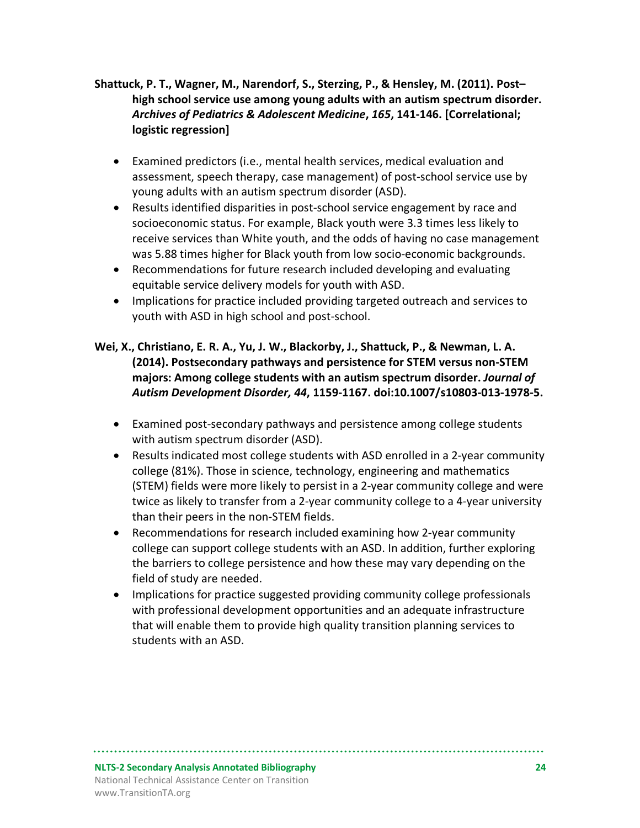#### **Shattuck, P. T., Wagner, M., Narendorf, S., Sterzing, P., & Hensley, M. (2011). Post– high school service use among young adults with an autism spectrum disorder.**  *Archives of Pediatrics & Adolescent Medicine***,** *165***, 141-146. [Correlational; logistic regression]**

- Examined predictors (i.e., mental health services, medical evaluation and assessment, speech therapy, case management) of post-school service use by young adults with an autism spectrum disorder (ASD).
- Results identified disparities in post-school service engagement by race and socioeconomic status. For example, Black youth were 3.3 times less likely to receive services than White youth, and the odds of having no case management was 5.88 times higher for Black youth from low socio-economic backgrounds.
- Recommendations for future research included developing and evaluating equitable service delivery models for youth with ASD.
- Implications for practice included providing targeted outreach and services to youth with ASD in high school and post-school.

#### **Wei, X., Christiano, E. R. A., Yu, J. W., Blackorby, J., Shattuck, P., & Newman, L. A. (2014). Postsecondary pathways and persistence for STEM versus non-STEM majors: Among college students with an autism spectrum disorder.** *Journal of Autism Development Disorder, 44***, 1159-1167. doi:10.1007/s10803-013-1978-5.**

- Examined post-secondary pathways and persistence among college students with autism spectrum disorder (ASD).
- Results indicated most college students with ASD enrolled in a 2-year community college (81%). Those in science, technology, engineering and mathematics (STEM) fields were more likely to persist in a 2-year community college and were twice as likely to transfer from a 2-year community college to a 4-year university than their peers in the non-STEM fields.
- Recommendations for research included examining how 2-year community college can support college students with an ASD. In addition, further exploring the barriers to college persistence and how these may vary depending on the field of study are needed.
- Implications for practice suggested providing community college professionals with professional development opportunities and an adequate infrastructure that will enable them to provide high quality transition planning services to students with an ASD.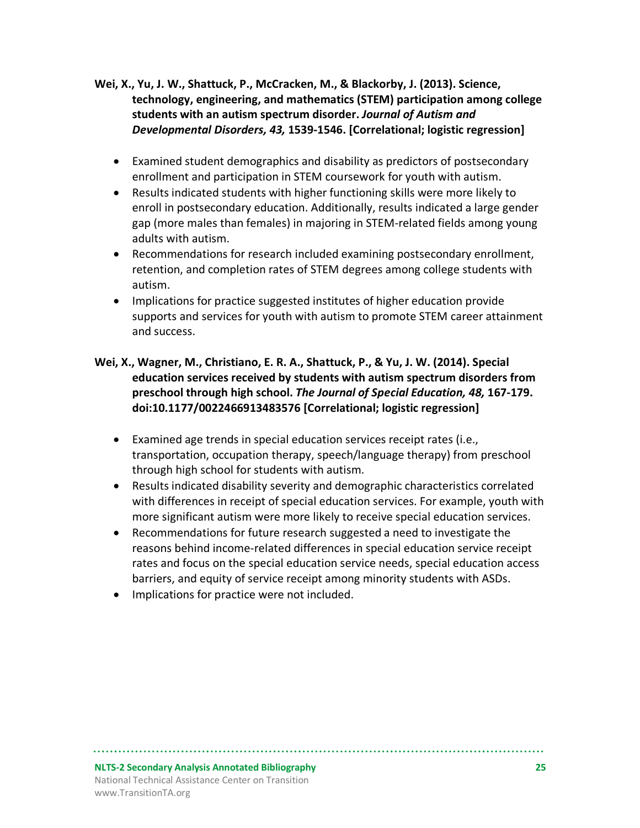- **Wei, X., Yu, J. W., Shattuck, P., McCracken, M., & Blackorby, J. (2013). Science, technology, engineering, and mathematics (STEM) participation among college students with an autism spectrum disorder.** *Journal of Autism and Developmental Disorders, 43,* **1539-1546. [Correlational; logistic regression]**
	- Examined student demographics and disability as predictors of postsecondary enrollment and participation in STEM coursework for youth with autism.
	- Results indicated students with higher functioning skills were more likely to enroll in postsecondary education. Additionally, results indicated a large gender gap (more males than females) in majoring in STEM-related fields among young adults with autism.
	- Recommendations for research included examining postsecondary enrollment, retention, and completion rates of STEM degrees among college students with autism.
	- Implications for practice suggested institutes of higher education provide supports and services for youth with autism to promote STEM career attainment and success.
- **Wei, X., Wagner, M., Christiano, E. R. A., Shattuck, P., & Yu, J. W. (2014). Special education services received by students with autism spectrum disorders from preschool through high school.** *The Journal of Special Education, 48,* **167-179. doi:10.1177/0022466913483576 [Correlational; logistic regression]**
	- Examined age trends in special education services receipt rates (i.e., transportation, occupation therapy, speech/language therapy) from preschool through high school for students with autism.
	- Results indicated disability severity and demographic characteristics correlated with differences in receipt of special education services. For example, youth with more significant autism were more likely to receive special education services.
	- Recommendations for future research suggested a need to investigate the reasons behind income-related differences in special education service receipt rates and focus on the special education service needs, special education access barriers, and equity of service receipt among minority students with ASDs.
	- Implications for practice were not included.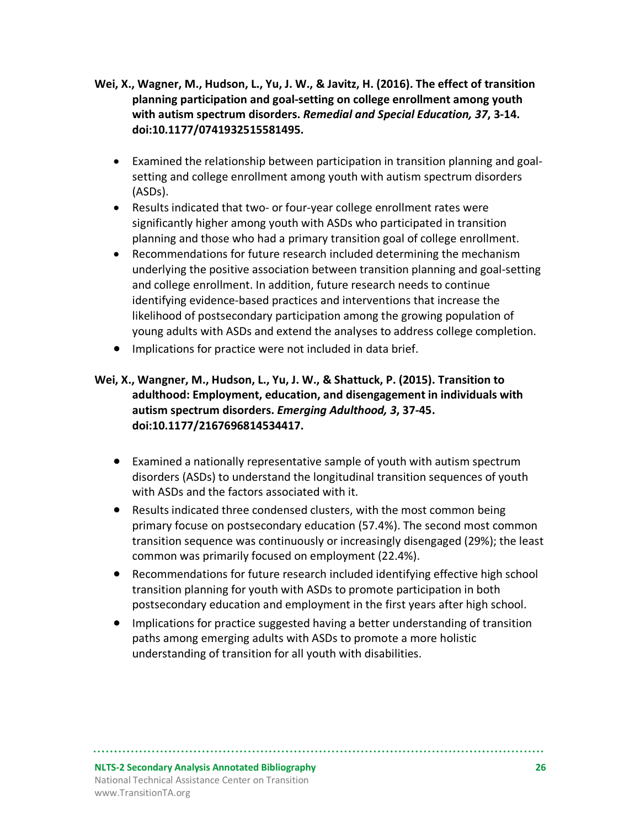- **Wei, X., Wagner, M., Hudson, L., Yu, J. W., & Javitz, H. (2016). The effect of transition planning participation and goal-setting on college enrollment among youth with autism spectrum disorders.** *Remedial and Special Education, 37***, 3-14. doi:10.1177/0741932515581495.**
	- Examined the relationship between participation in transition planning and goalsetting and college enrollment among youth with autism spectrum disorders (ASDs).
	- Results indicated that two- or four-year college enrollment rates were significantly higher among youth with ASDs who participated in transition planning and those who had a primary transition goal of college enrollment.
	- Recommendations for future research included determining the mechanism underlying the positive association between transition planning and goal-setting and college enrollment. In addition, future research needs to continue identifying evidence-based practices and interventions that increase the likelihood of postsecondary participation among the growing population of young adults with ASDs and extend the analyses to address college completion.
	- Implications for practice were not included in data brief.

#### **Wei, X., Wangner, M., Hudson, L., Yu, J. W., & Shattuck, P. (2015). Transition to adulthood: Employment, education, and disengagement in individuals with autism spectrum disorders.** *Emerging Adulthood, 3***, 37-45. doi:10.1177/2167696814534417.**

- Examined a nationally representative sample of youth with autism spectrum disorders (ASDs) to understand the longitudinal transition sequences of youth with ASDs and the factors associated with it.
- Results indicated three condensed clusters, with the most common being primary focuse on postsecondary education (57.4%). The second most common transition sequence was continuously or increasingly disengaged (29%); the least common was primarily focused on employment (22.4%).
- Recommendations for future research included identifying effective high school transition planning for youth with ASDs to promote participation in both postsecondary education and employment in the first years after high school.
- Implications for practice suggested having a better understanding of transition paths among emerging adults with ASDs to promote a more holistic understanding of transition for all youth with disabilities.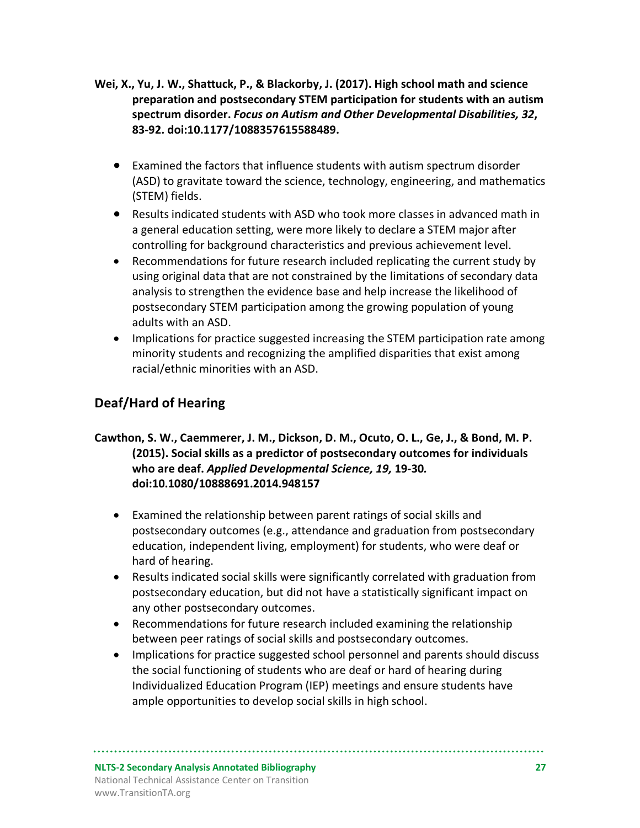- **Wei, X., Yu, J. W., Shattuck, P., & Blackorby, J. (2017). High school math and science preparation and postsecondary STEM participation for students with an autism spectrum disorder.** *Focus on Autism and Other Developmental Disabilities, 32***, 83-92. doi:10.1177/1088357615588489.**
	- Examined the factors that influence students with autism spectrum disorder (ASD) to gravitate toward the science, technology, engineering, and mathematics (STEM) fields.
	- Results indicated students with ASD who took more classes in advanced math in a general education setting, were more likely to declare a STEM major after controlling for background characteristics and previous achievement level.
	- Recommendations for future research included replicating the current study by using original data that are not constrained by the limitations of secondary data analysis to strengthen the evidence base and help increase the likelihood of postsecondary STEM participation among the growing population of young adults with an ASD.
	- Implications for practice suggested increasing the STEM participation rate among minority students and recognizing the amplified disparities that exist among racial/ethnic minorities with an ASD.

## **Deaf/Hard of Hearing**

#### **Cawthon, S. W., Caemmerer, J. M., Dickson, D. M., Ocuto, O. L., Ge, J., & Bond, M. P. (2015). Social skills as a predictor of postsecondary outcomes for individuals who are deaf.** *Applied Developmental Science, 19,* **19-30***.* **doi:10.1080/10888691.2014.948157**

- Examined the relationship between parent ratings of social skills and postsecondary outcomes (e.g., attendance and graduation from postsecondary education, independent living, employment) for students, who were deaf or hard of hearing.
- Results indicated social skills were significantly correlated with graduation from postsecondary education, but did not have a statistically significant impact on any other postsecondary outcomes.
- Recommendations for future research included examining the relationship between peer ratings of social skills and postsecondary outcomes.
- Implications for practice suggested school personnel and parents should discuss the social functioning of students who are deaf or hard of hearing during Individualized Education Program (IEP) meetings and ensure students have ample opportunities to develop social skills in high school.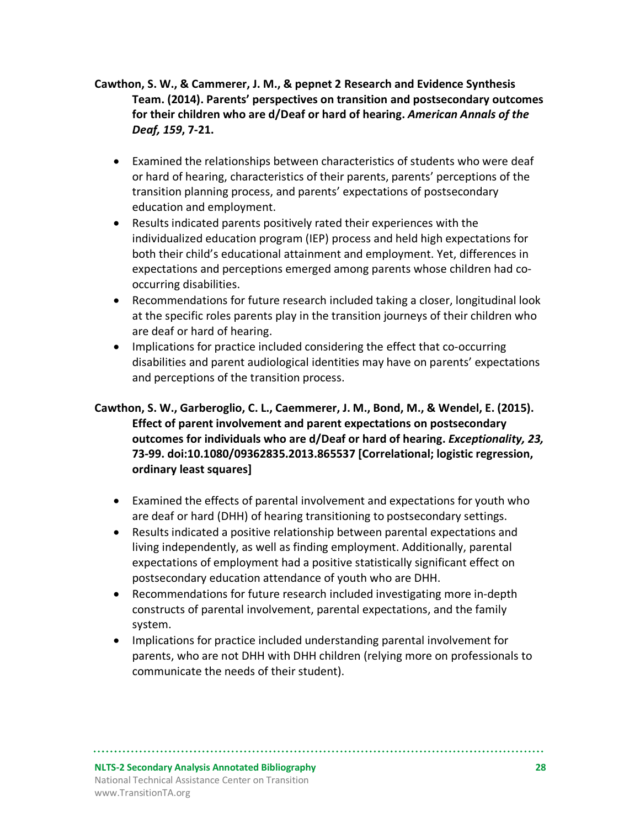- **Cawthon, S. W., & Cammerer, J. M., & pepnet 2 Research and Evidence Synthesis Team. (2014). Parents' perspectives on transition and postsecondary outcomes for their children who are d/Deaf or hard of hearing.** *American Annals of the Deaf, 159***, 7-21.**
	- Examined the relationships between characteristics of students who were deaf or hard of hearing, characteristics of their parents, parents' perceptions of the transition planning process, and parents' expectations of postsecondary education and employment.
	- Results indicated parents positively rated their experiences with the individualized education program (IEP) process and held high expectations for both their child's educational attainment and employment. Yet, differences in expectations and perceptions emerged among parents whose children had cooccurring disabilities.
	- Recommendations for future research included taking a closer, longitudinal look at the specific roles parents play in the transition journeys of their children who are deaf or hard of hearing.
	- Implications for practice included considering the effect that co-occurring disabilities and parent audiological identities may have on parents' expectations and perceptions of the transition process.

#### **Cawthon, S. W., Garberoglio, C. L., Caemmerer, J. M., Bond, M., & Wendel, E. (2015). Effect of parent involvement and parent expectations on postsecondary outcomes for individuals who are d/Deaf or hard of hearing.** *Exceptionality, 23,*  **73-99. doi:10.1080/09362835.2013.865537 [Correlational; logistic regression, ordinary least squares]**

- Examined the effects of parental involvement and expectations for youth who are deaf or hard (DHH) of hearing transitioning to postsecondary settings.
- Results indicated a positive relationship between parental expectations and living independently, as well as finding employment. Additionally, parental expectations of employment had a positive statistically significant effect on postsecondary education attendance of youth who are DHH.
- Recommendations for future research included investigating more in-depth constructs of parental involvement, parental expectations, and the family system.
- Implications for practice included understanding parental involvement for parents, who are not DHH with DHH children (relying more on professionals to communicate the needs of their student).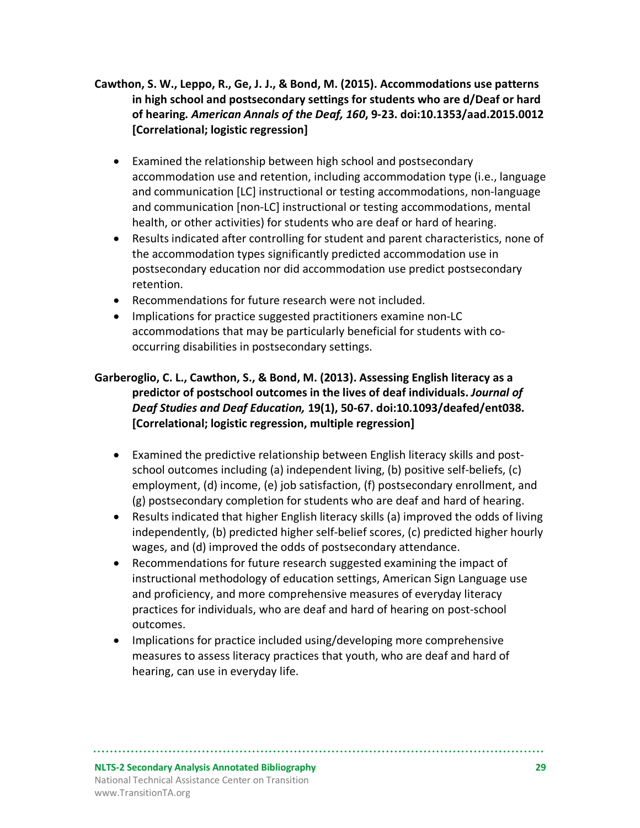- **Cawthon, S. W., Leppo, R., Ge, J. J., & Bond, M. (2015). Accommodations use patterns in high school and postsecondary settings for students who are d/Deaf or hard of hearing***. American Annals of the Deaf, 160***, 9-23. doi:10.1353/aad.2015.0012 [Correlational; logistic regression]**
	- Examined the relationship between high school and postsecondary accommodation use and retention, including accommodation type (i.e., language and communication [LC] instructional or testing accommodations, non-language and communication [non-LC] instructional or testing accommodations, mental health, or other activities) for students who are deaf or hard of hearing.
	- Results indicated after controlling for student and parent characteristics, none of the accommodation types significantly predicted accommodation use in postsecondary education nor did accommodation use predict postsecondary retention.
	- Recommendations for future research were not included.
	- Implications for practice suggested practitioners examine non-LC accommodations that may be particularly beneficial for students with cooccurring disabilities in postsecondary settings.

#### **Garberoglio, C. L., Cawthon, S., & Bond, M. (2013). Assessing English literacy as a predictor of postschool outcomes in the lives of deaf individuals.** *Journal of Deaf Studies and Deaf Education,* **19(1), 50-67. doi:10.1093/deafed/ent038. [Correlational; logistic regression, multiple regression]**

- Examined the predictive relationship between English literacy skills and postschool outcomes including (a) independent living, (b) positive self-beliefs, (c) employment, (d) income, (e) job satisfaction, (f) postsecondary enrollment, and (g) postsecondary completion for students who are deaf and hard of hearing.
- Results indicated that higher English literacy skills (a) improved the odds of living independently, (b) predicted higher self-belief scores, (c) predicted higher hourly wages, and (d) improved the odds of postsecondary attendance.
- Recommendations for future research suggested examining the impact of instructional methodology of education settings, American Sign Language use and proficiency, and more comprehensive measures of everyday literacy practices for individuals, who are deaf and hard of hearing on post-school outcomes.
- Implications for practice included using/developing more comprehensive measures to assess literacy practices that youth, who are deaf and hard of hearing, can use in everyday life.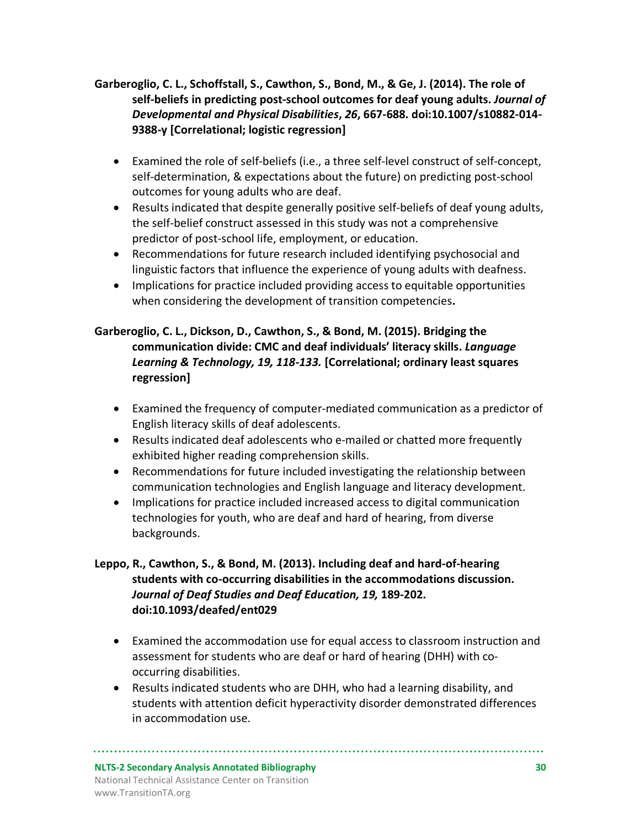#### **Garberoglio, C. L., Schoffstall, S., Cawthon, S., Bond, M., & Ge, J. (2014). The role of self-beliefs in predicting post-school outcomes for deaf young adults.** *Journal of Developmental and Physical Disabilities***,** *26***, 667-688. doi:10.1007/s10882-014- 9388-y [Correlational; logistic regression]**

- Examined the role of self-beliefs (i.e., a three self-level construct of self-concept, self-determination, & expectations about the future) on predicting post-school outcomes for young adults who are deaf.
- Results indicated that despite generally positive self-beliefs of deaf young adults, the self-belief construct assessed in this study was not a comprehensive predictor of post-school life, employment, or education.
- Recommendations for future research included identifying psychosocial and linguistic factors that influence the experience of young adults with deafness.
- Implications for practice included providing access to equitable opportunities when considering the development of transition competencies**.**

#### **Garberoglio, C. L., Dickson, D., Cawthon, S., & Bond, M. (2015). Bridging the communication divide: CMC and deaf individuals' literacy skills.** *Language Learning & Technology, 19, 118-133.* **[Correlational; ordinary least squares regression]**

- Examined the frequency of computer-mediated communication as a predictor of English literacy skills of deaf adolescents.
- Results indicated deaf adolescents who e-mailed or chatted more frequently exhibited higher reading comprehension skills.
- Recommendations for future included investigating the relationship between communication technologies and English language and literacy development.
- Implications for practice included increased access to digital communication technologies for youth, who are deaf and hard of hearing, from diverse backgrounds.

#### **Leppo, R., Cawthon, S., & Bond, M. (2013). Including deaf and hard-of-hearing students with co-occurring disabilities in the accommodations discussion.**  *Journal of Deaf Studies and Deaf Education, 19,* **189-202. doi:10.1093/deafed/ent029**

- Examined the accommodation use for equal access to classroom instruction and assessment for students who are deaf or hard of hearing (DHH) with cooccurring disabilities.
- Results indicated students who are DHH, who had a learning disability, and students with attention deficit hyperactivity disorder demonstrated differences in accommodation use.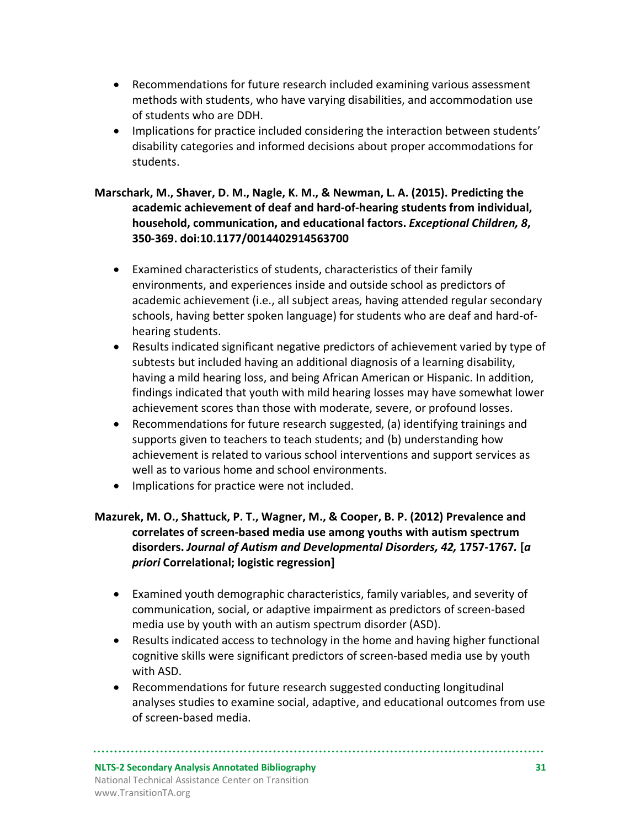- Recommendations for future research included examining various assessment methods with students, who have varying disabilities, and accommodation use of students who are DDH.
- Implications for practice included considering the interaction between students' disability categories and informed decisions about proper accommodations for students.

#### **Marschark, M., Shaver, D. M., Nagle, K. M., & Newman, L. A. (2015). Predicting the academic achievement of deaf and hard-of-hearing students from individual, household, communication, and educational factors.** *Exceptional Children, 8***, 350-369. doi:10.1177/0014402914563700**

- Examined characteristics of students, characteristics of their family environments, and experiences inside and outside school as predictors of academic achievement (i.e., all subject areas, having attended regular secondary schools, having better spoken language) for students who are deaf and hard-ofhearing students.
- Results indicated significant negative predictors of achievement varied by type of subtests but included having an additional diagnosis of a learning disability, having a mild hearing loss, and being African American or Hispanic. In addition, findings indicated that youth with mild hearing losses may have somewhat lower achievement scores than those with moderate, severe, or profound losses.
- Recommendations for future research suggested, (a) identifying trainings and supports given to teachers to teach students; and (b) understanding how achievement is related to various school interventions and support services as well as to various home and school environments.
- Implications for practice were not included.

#### **Mazurek, M. O., Shattuck, P. T., Wagner, M., & Cooper, B. P. (2012) Prevalence and correlates of screen-based media use among youths with autism spectrum disorders.** *Journal of Autism and Developmental Disorders, 42,* **1757-1767***.* **[***a priori* **Correlational; logistic regression]**

- Examined youth demographic characteristics, family variables, and severity of communication, social, or adaptive impairment as predictors of screen-based media use by youth with an autism spectrum disorder (ASD).
- Results indicated access to technology in the home and having higher functional cognitive skills were significant predictors of screen-based media use by youth with ASD.
- Recommendations for future research suggested conducting longitudinal analyses studies to examine social, adaptive, and educational outcomes from use of screen-based media.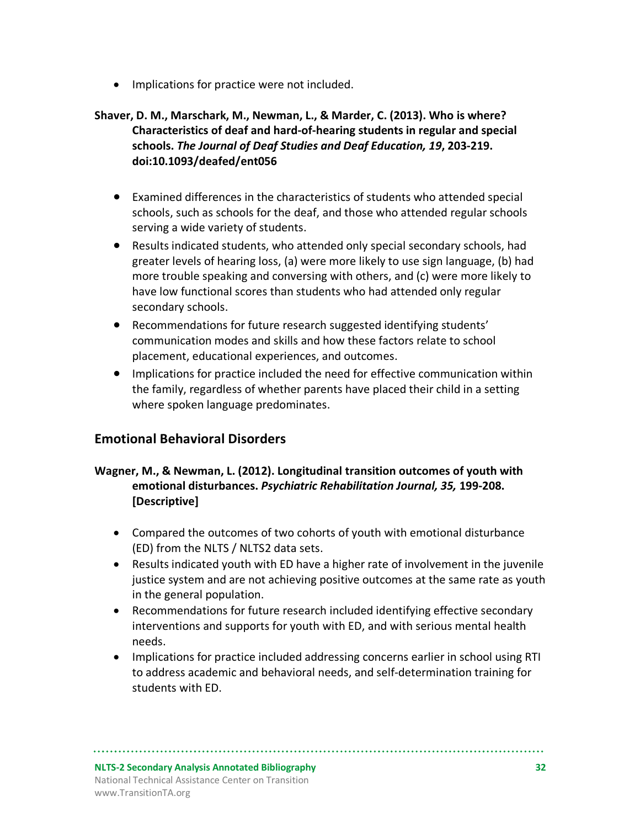• Implications for practice were not included.

#### **Shaver, D. M., Marschark, M., Newman, L., & Marder, C. (2013). Who is where? Characteristics of deaf and hard-of-hearing students in regular and special schools.** *The Journal of Deaf Studies and Deaf Education, 19***, 203-219. doi:10.1093/deafed/ent056**

- Examined differences in the characteristics of students who attended special schools, such as schools for the deaf, and those who attended regular schools serving a wide variety of students.
- Results indicated students, who attended only special secondary schools, had greater levels of hearing loss, (a) were more likely to use sign language, (b) had more trouble speaking and conversing with others, and (c) were more likely to have low functional scores than students who had attended only regular secondary schools.
- Recommendations for future research suggested identifying students' communication modes and skills and how these factors relate to school placement, educational experiences, and outcomes.
- Implications for practice included the need for effective communication within the family, regardless of whether parents have placed their child in a setting where spoken language predominates.

#### **Emotional Behavioral Disorders**

#### **Wagner, M., & Newman, L. (2012). Longitudinal transition outcomes of youth with emotional disturbances.** *Psychiatric Rehabilitation Journal, 35,* **199-208. [Descriptive]**

- Compared the outcomes of two cohorts of youth with emotional disturbance (ED) from the NLTS / NLTS2 data sets.
- Results indicated youth with ED have a higher rate of involvement in the juvenile justice system and are not achieving positive outcomes at the same rate as youth in the general population.
- Recommendations for future research included identifying effective secondary interventions and supports for youth with ED, and with serious mental health needs.
- Implications for practice included addressing concerns earlier in school using RTI to address academic and behavioral needs, and self-determination training for students with ED.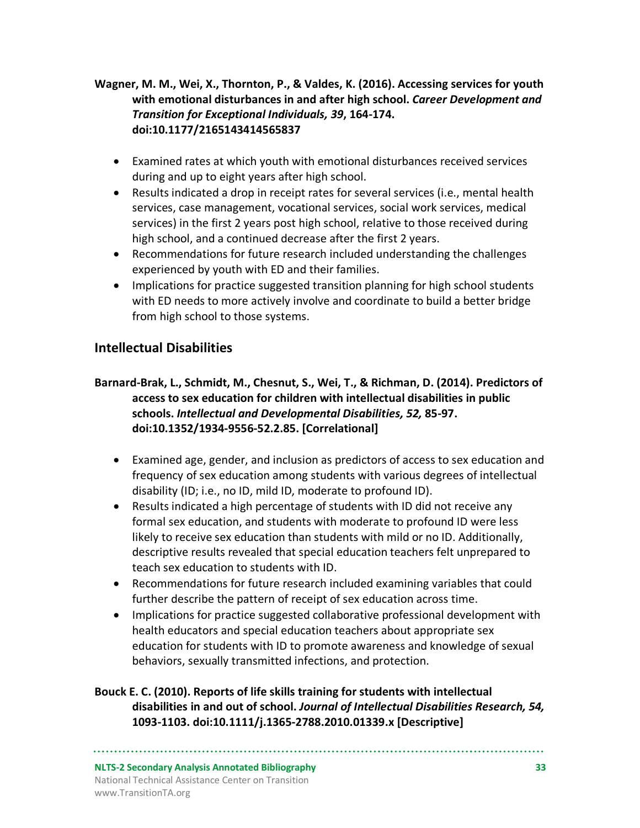**Wagner, M. M., Wei, X., Thornton, P., & Valdes, K. (2016). Accessing services for youth with emotional disturbances in and after high school.** *Career Development and Transition for Exceptional Individuals, 39***, 164-174. doi:10.1177/2165143414565837**

- Examined rates at which youth with emotional disturbances received services during and up to eight years after high school.
- Results indicated a drop in receipt rates for several services (i.e., mental health services, case management, vocational services, social work services, medical services) in the first 2 years post high school, relative to those received during high school, and a continued decrease after the first 2 years.
- Recommendations for future research included understanding the challenges experienced by youth with ED and their families.
- Implications for practice suggested transition planning for high school students with ED needs to more actively involve and coordinate to build a better bridge from high school to those systems.

## **Intellectual Disabilities**

- **Barnard-Brak, L., Schmidt, M., Chesnut, S., Wei, T., & Richman, D. (2014). Predictors of access to sex education for children with intellectual disabilities in public schools.** *Intellectual and Developmental Disabilities, 52,* **85-97. doi:10.1352/1934-9556-52.2.85. [Correlational]** 
	- Examined age, gender, and inclusion as predictors of access to sex education and frequency of sex education among students with various degrees of intellectual disability (ID; i.e., no ID, mild ID, moderate to profound ID).
	- Results indicated a high percentage of students with ID did not receive any formal sex education, and students with moderate to profound ID were less likely to receive sex education than students with mild or no ID. Additionally, descriptive results revealed that special education teachers felt unprepared to teach sex education to students with ID.
	- Recommendations for future research included examining variables that could further describe the pattern of receipt of sex education across time.
	- Implications for practice suggested collaborative professional development with health educators and special education teachers about appropriate sex education for students with ID to promote awareness and knowledge of sexual behaviors, sexually transmitted infections, and protection.

**Bouck E. C. (2010). Reports of life skills training for students with intellectual disabilities in and out of school.** *Journal of Intellectual Disabilities Research, 54,*  **1093-1103. doi:10.1111/j.1365-2788.2010.01339.x [Descriptive]**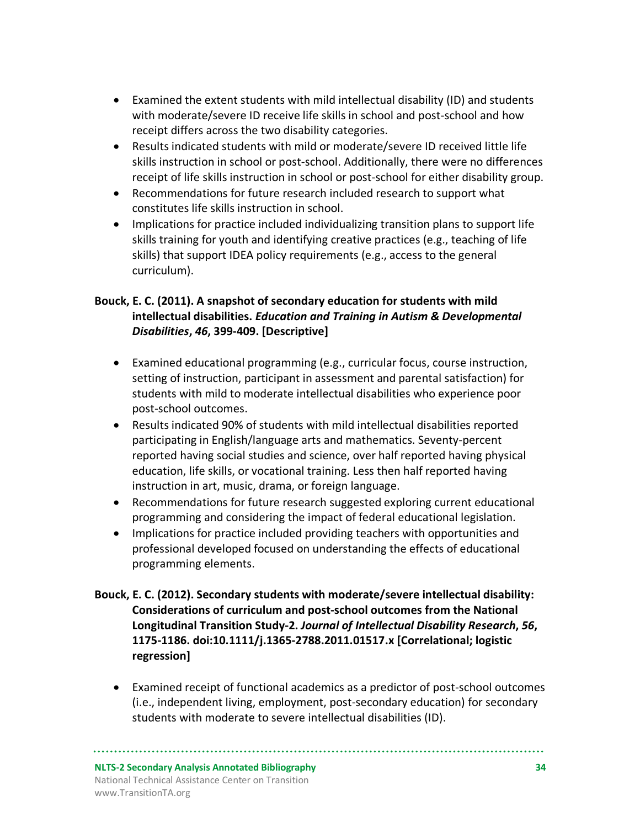- Examined the extent students with mild intellectual disability (ID) and students with moderate/severe ID receive life skills in school and post-school and how receipt differs across the two disability categories.
- Results indicated students with mild or moderate/severe ID received little life skills instruction in school or post-school. Additionally, there were no differences receipt of life skills instruction in school or post-school for either disability group.
- Recommendations for future research included research to support what constitutes life skills instruction in school.
- Implications for practice included individualizing transition plans to support life skills training for youth and identifying creative practices (e.g., teaching of life skills) that support IDEA policy requirements (e.g., access to the general curriculum).

#### **Bouck, E. C. (2011). A snapshot of secondary education for students with mild intellectual disabilities.** *Education and Training in Autism & Developmental Disabilities***,** *46***, 399-409. [Descriptive]**

- Examined educational programming (e.g., curricular focus, course instruction, setting of instruction, participant in assessment and parental satisfaction) for students with mild to moderate intellectual disabilities who experience poor post-school outcomes.
- Results indicated 90% of students with mild intellectual disabilities reported participating in English/language arts and mathematics. Seventy-percent reported having social studies and science, over half reported having physical education, life skills, or vocational training. Less then half reported having instruction in art, music, drama, or foreign language.
- Recommendations for future research suggested exploring current educational programming and considering the impact of federal educational legislation.
- Implications for practice included providing teachers with opportunities and professional developed focused on understanding the effects of educational programming elements.
- **Bouck, E. C. (2012). Secondary students with moderate/severe intellectual disability: Considerations of curriculum and post-school outcomes from the National Longitudinal Transition Study-2.** *Journal of Intellectual Disability Research***,** *56***, 1175-1186. doi:10.1111/j.1365-2788.2011.01517.x [Correlational; logistic regression]**
	- Examined receipt of functional academics as a predictor of post-school outcomes (i.e., independent living, employment, post-secondary education) for secondary students with moderate to severe intellectual disabilities (ID).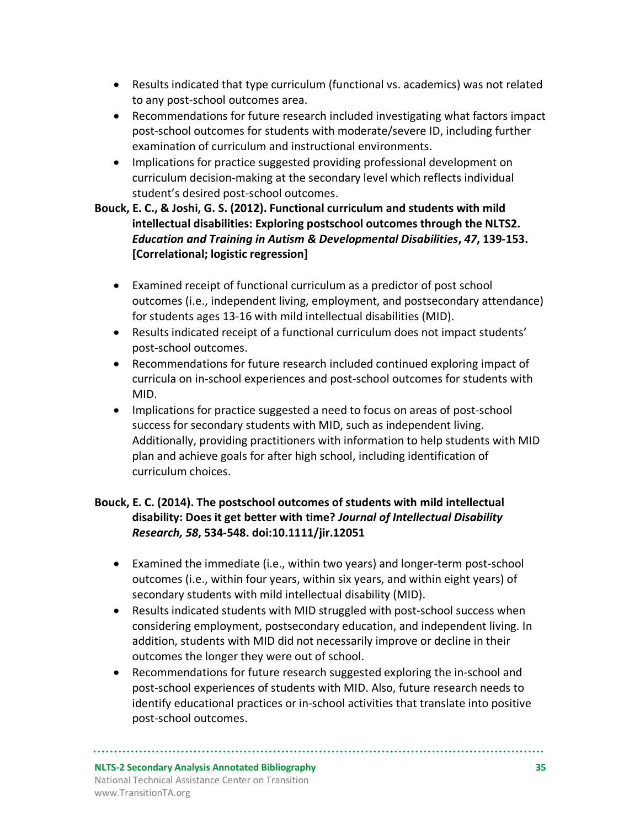- Results indicated that type curriculum (functional vs. academics) was not related to any post-school outcomes area.
- Recommendations for future research included investigating what factors impact post-school outcomes for students with moderate/severe ID, including further examination of curriculum and instructional environments.
- Implications for practice suggested providing professional development on curriculum decision-making at the secondary level which reflects individual student's desired post-school outcomes.

#### **Bouck, E. C., & Joshi, G. S. (2012). Functional curriculum and students with mild intellectual disabilities: Exploring postschool outcomes through the NLTS2.**  *Education and Training in Autism & Developmental Disabilities***,** *47***, 139-153. [Correlational; logistic regression]**

- Examined receipt of functional curriculum as a predictor of post school outcomes (i.e., independent living, employment, and postsecondary attendance) for students ages 13-16 with mild intellectual disabilities (MID).
- Results indicated receipt of a functional curriculum does not impact students' post-school outcomes.
- Recommendations for future research included continued exploring impact of curricula on in-school experiences and post-school outcomes for students with MID.
- Implications for practice suggested a need to focus on areas of post-school success for secondary students with MID, such as independent living. Additionally, providing practitioners with information to help students with MID plan and achieve goals for after high school, including identification of curriculum choices.

#### **Bouck, E. C. (2014). The postschool outcomes of students with mild intellectual disability: Does it get better with time?** *Journal of Intellectual Disability Research, 58***, 534-548. doi:10.1111/jir.12051**

- Examined the immediate (i.e., within two years) and longer-term post-school outcomes (i.e., within four years, within six years, and within eight years) of secondary students with mild intellectual disability (MID).
- Results indicated students with MID struggled with post-school success when considering employment, postsecondary education, and independent living. In addition, students with MID did not necessarily improve or decline in their outcomes the longer they were out of school.
- Recommendations for future research suggested exploring the in-school and post-school experiences of students with MID. Also, future research needs to identify educational practices or in-school activities that translate into positive post-school outcomes.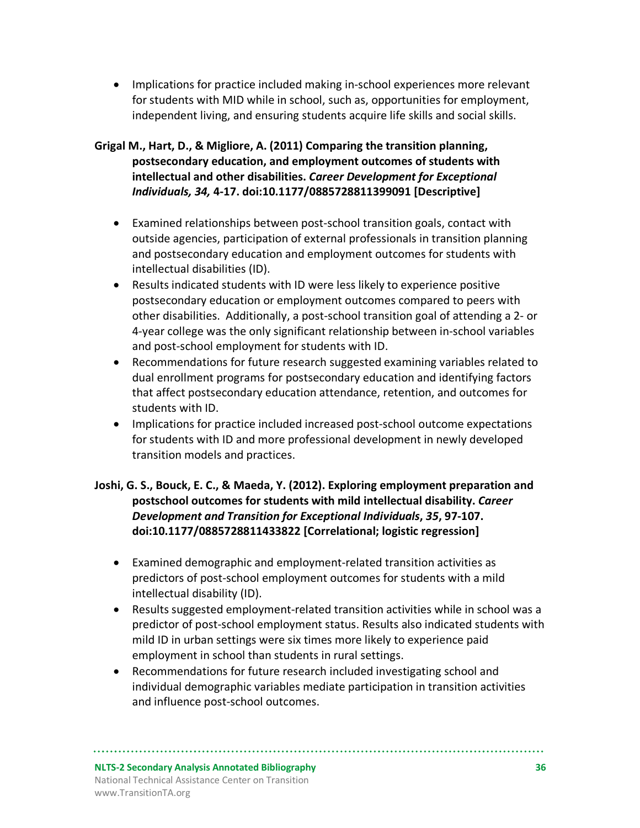• Implications for practice included making in-school experiences more relevant for students with MID while in school, such as, opportunities for employment, independent living, and ensuring students acquire life skills and social skills.

#### **Grigal M., Hart, D., & Migliore, A. (2011) Comparing the transition planning, postsecondary education, and employment outcomes of students with intellectual and other disabilities.** *Career Development for Exceptional Individuals, 34,* **4-17. doi:10.1177/0885728811399091 [Descriptive]**

- Examined relationships between post-school transition goals, contact with outside agencies, participation of external professionals in transition planning and postsecondary education and employment outcomes for students with intellectual disabilities (ID).
- Results indicated students with ID were less likely to experience positive postsecondary education or employment outcomes compared to peers with other disabilities. Additionally, a post-school transition goal of attending a 2- or 4-year college was the only significant relationship between in-school variables and post-school employment for students with ID.
- Recommendations for future research suggested examining variables related to dual enrollment programs for postsecondary education and identifying factors that affect postsecondary education attendance, retention, and outcomes for students with ID.
- Implications for practice included increased post-school outcome expectations for students with ID and more professional development in newly developed transition models and practices.

#### **Joshi, G. S., Bouck, E. C., & Maeda, Y. (2012). Exploring employment preparation and postschool outcomes for students with mild intellectual disability.** *Career Development and Transition for Exceptional Individuals***,** *35***, 97-107. doi:10.1177/0885728811433822 [Correlational; logistic regression]**

- Examined demographic and employment-related transition activities as predictors of post-school employment outcomes for students with a mild intellectual disability (ID).
- Results suggested employment-related transition activities while in school was a predictor of post-school employment status. Results also indicated students with mild ID in urban settings were six times more likely to experience paid employment in school than students in rural settings.
- Recommendations for future research included investigating school and individual demographic variables mediate participation in transition activities and influence post-school outcomes.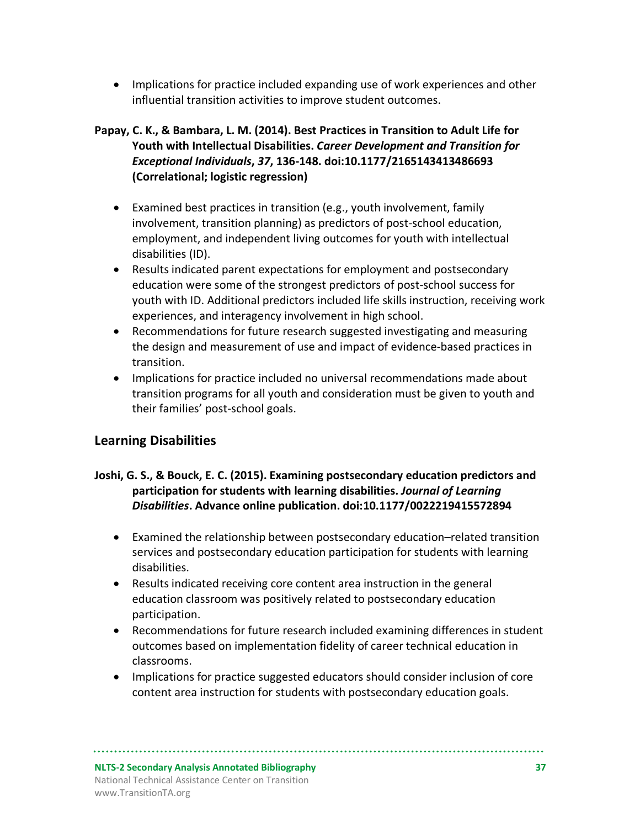• Implications for practice included expanding use of work experiences and other influential transition activities to improve student outcomes.

#### **Papay, C. K., & Bambara, L. M. (2014). Best Practices in Transition to Adult Life for Youth with Intellectual Disabilities.** *Career Development and Transition for Exceptional Individuals***,** *37***, 136-148. doi:10.1177/2165143413486693 (Correlational; logistic regression)**

- Examined best practices in transition (e.g., youth involvement, family involvement, transition planning) as predictors of post-school education, employment, and independent living outcomes for youth with intellectual disabilities (ID).
- Results indicated parent expectations for employment and postsecondary education were some of the strongest predictors of post-school success for youth with ID. Additional predictors included life skills instruction, receiving work experiences, and interagency involvement in high school.
- Recommendations for future research suggested investigating and measuring the design and measurement of use and impact of evidence-based practices in transition.
- Implications for practice included no universal recommendations made about transition programs for all youth and consideration must be given to youth and their families' post-school goals.

#### **Learning Disabilities**

#### **Joshi, G. S., & Bouck, E. C. (2015). Examining postsecondary education predictors and participation for students with learning disabilities.** *Journal of Learning Disabilities***. Advance online publication. doi:10.1177/0022219415572894**

- Examined the relationship between postsecondary education–related transition services and postsecondary education participation for students with learning disabilities.
- Results indicated receiving core content area instruction in the general education classroom was positively related to postsecondary education participation.
- Recommendations for future research included examining differences in student outcomes based on implementation fidelity of career technical education in classrooms.
- Implications for practice suggested educators should consider inclusion of core content area instruction for students with postsecondary education goals.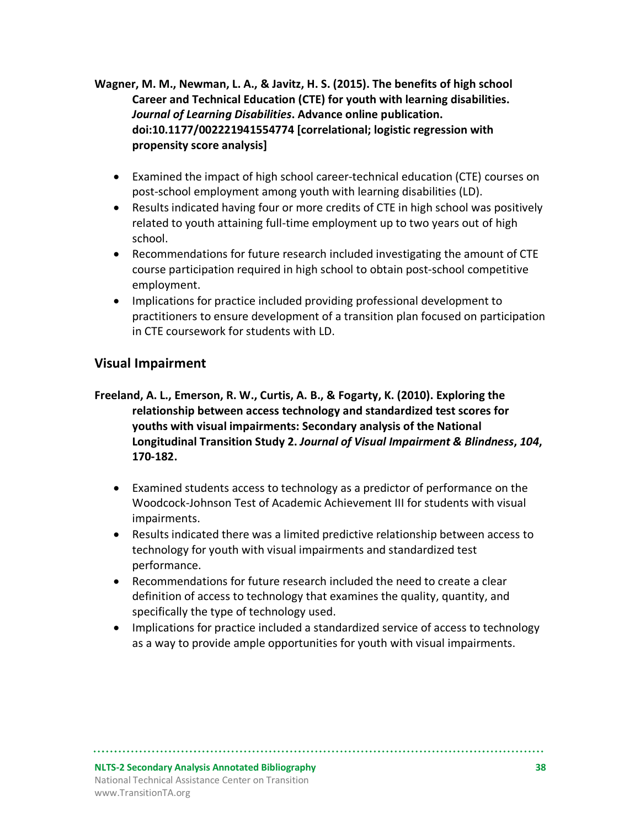**Wagner, M. M., Newman, L. A., & Javitz, H. S. (2015). The benefits of high school Career and Technical Education (CTE) for youth with learning disabilities.**  *Journal of Learning Disabilities***. Advance online publication. doi:10.1177/002221941554774 [correlational; logistic regression with propensity score analysis]**

- Examined the impact of high school career-technical education (CTE) courses on post-school employment among youth with learning disabilities (LD).
- Results indicated having four or more credits of CTE in high school was positively related to youth attaining full-time employment up to two years out of high school.
- Recommendations for future research included investigating the amount of CTE course participation required in high school to obtain post-school competitive employment.
- Implications for practice included providing professional development to practitioners to ensure development of a transition plan focused on participation in CTE coursework for students with LD.

#### **Visual Impairment**

- **Freeland, A. L., Emerson, R. W., Curtis, A. B., & Fogarty, K. (2010). Exploring the relationship between access technology and standardized test scores for youths with visual impairments: Secondary analysis of the National Longitudinal Transition Study 2.** *Journal of Visual Impairment & Blindness***,** *104***, 170-182.** 
	- Examined students access to technology as a predictor of performance on the Woodcock-Johnson Test of Academic Achievement III for students with visual impairments.
	- Results indicated there was a limited predictive relationship between access to technology for youth with visual impairments and standardized test performance.
	- Recommendations for future research included the need to create a clear definition of access to technology that examines the quality, quantity, and specifically the type of technology used.
	- Implications for practice included a standardized service of access to technology as a way to provide ample opportunities for youth with visual impairments.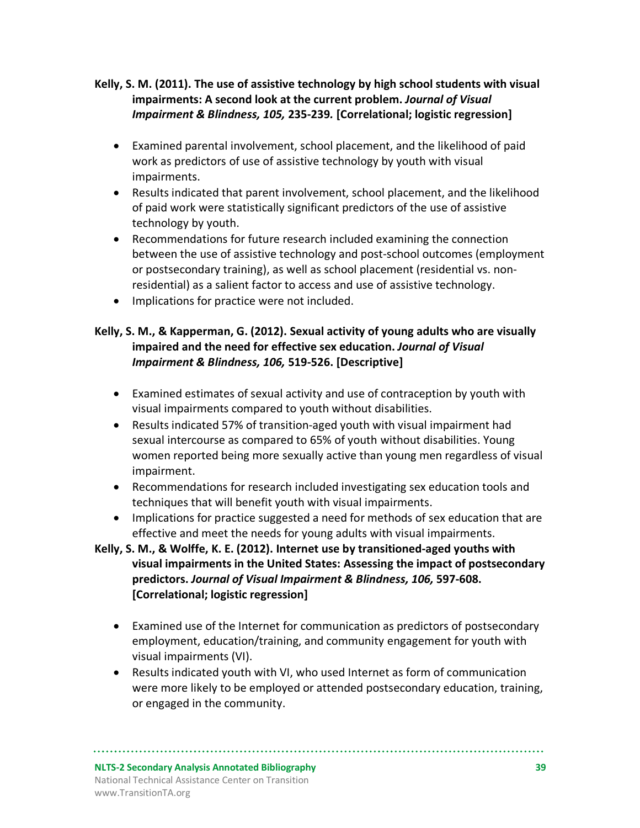#### **Kelly, S. M. (2011). The use of assistive technology by high school students with visual impairments: A second look at the current problem.** *Journal of Visual Impairment & Blindness, 105,* **235-239***.* **[Correlational; logistic regression]**

- Examined parental involvement, school placement, and the likelihood of paid work as predictors of use of assistive technology by youth with visual impairments.
- Results indicated that parent involvement, school placement, and the likelihood of paid work were statistically significant predictors of the use of assistive technology by youth.
- Recommendations for future research included examining the connection between the use of assistive technology and post-school outcomes (employment or postsecondary training), as well as school placement (residential vs. nonresidential) as a salient factor to access and use of assistive technology.
- Implications for practice were not included.

#### **Kelly, S. M., & Kapperman, G. (2012). Sexual activity of young adults who are visually impaired and the need for effective sex education.** *Journal of Visual Impairment & Blindness, 106,* **519-526. [Descriptive]**

- Examined estimates of sexual activity and use of contraception by youth with visual impairments compared to youth without disabilities.
- Results indicated 57% of transition-aged youth with visual impairment had sexual intercourse as compared to 65% of youth without disabilities. Young women reported being more sexually active than young men regardless of visual impairment.
- Recommendations for research included investigating sex education tools and techniques that will benefit youth with visual impairments.
- Implications for practice suggested a need for methods of sex education that are effective and meet the needs for young adults with visual impairments.

#### **Kelly, S. M., & Wolffe, K. E. (2012). Internet use by transitioned-aged youths with visual impairments in the United States: Assessing the impact of postsecondary predictors.** *Journal of Visual Impairment & Blindness, 106,* **597-608. [Correlational; logistic regression]**

- Examined use of the Internet for communication as predictors of postsecondary employment, education/training, and community engagement for youth with visual impairments (VI).
- Results indicated youth with VI, who used Internet as form of communication were more likely to be employed or attended postsecondary education, training, or engaged in the community.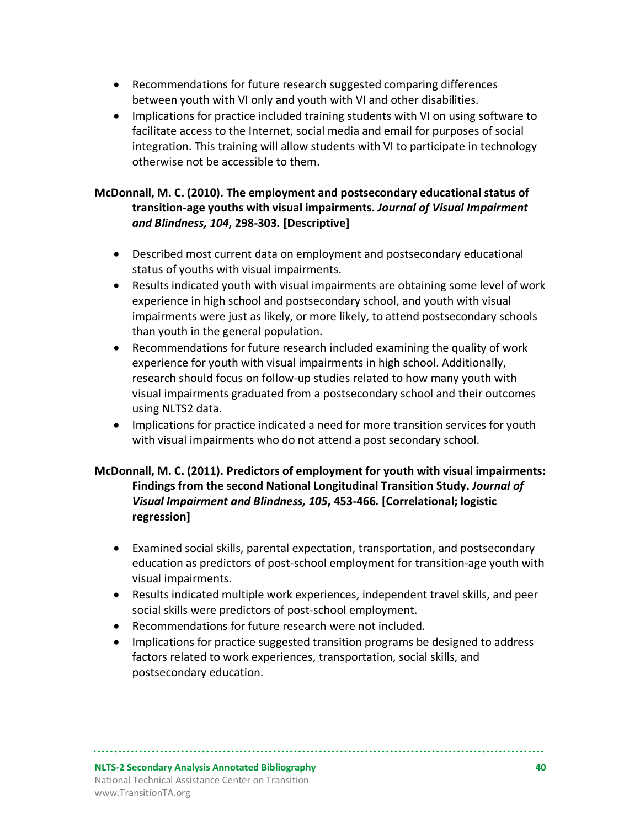- Recommendations for future research suggested comparing differences between youth with VI only and youth with VI and other disabilities.
- Implications for practice included training students with VI on using software to facilitate access to the Internet, social media and email for purposes of social integration. This training will allow students with VI to participate in technology otherwise not be accessible to them.

#### **McDonnall, M. C. (2010). The employment and postsecondary educational status of transition-age youths with visual impairments.** *Journal of Visual Impairment and Blindness, 104***, 298-303***.* **[Descriptive]**

- Described most current data on employment and postsecondary educational status of youths with visual impairments.
- Results indicated youth with visual impairments are obtaining some level of work experience in high school and postsecondary school, and youth with visual impairments were just as likely, or more likely, to attend postsecondary schools than youth in the general population.
- Recommendations for future research included examining the quality of work experience for youth with visual impairments in high school. Additionally, research should focus on follow-up studies related to how many youth with visual impairments graduated from a postsecondary school and their outcomes using NLTS2 data.
- Implications for practice indicated a need for more transition services for youth with visual impairments who do not attend a post secondary school.

#### **McDonnall, M. C. (2011). Predictors of employment for youth with visual impairments: Findings from the second National Longitudinal Transition Study.** *Journal of Visual Impairment and Blindness, 105***, 453-466***.* **[Correlational; logistic regression]**

- Examined social skills, parental expectation, transportation, and postsecondary education as predictors of post-school employment for transition-age youth with visual impairments.
- Results indicated multiple work experiences, independent travel skills, and peer social skills were predictors of post-school employment.
- Recommendations for future research were not included.
- Implications for practice suggested transition programs be designed to address factors related to work experiences, transportation, social skills, and postsecondary education.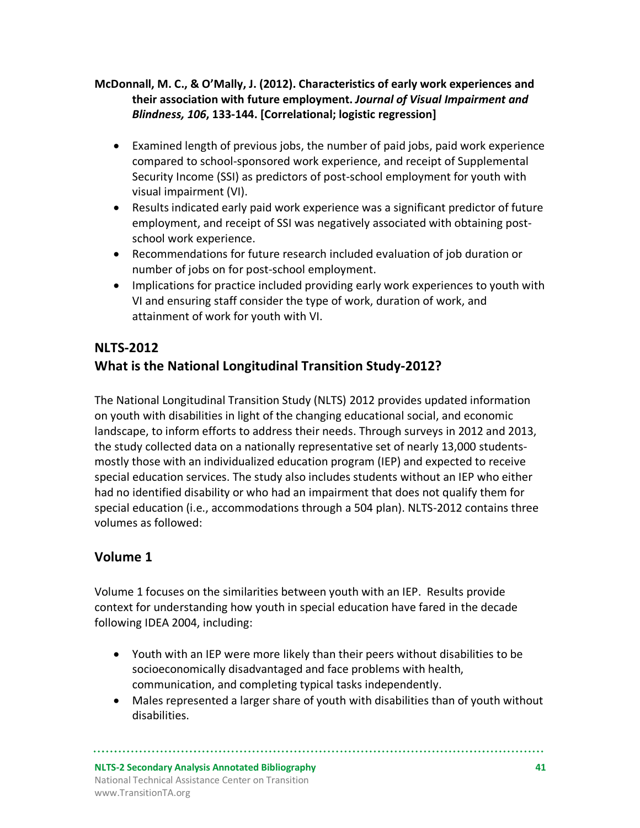#### **McDonnall, M. C., & O'Mally, J. (2012). Characteristics of early work experiences and their association with future employment.** *Journal of Visual Impairment and Blindness, 106***, 133-144. [Correlational; logistic regression]**

- Examined length of previous jobs, the number of paid jobs, paid work experience compared to school-sponsored work experience, and receipt of Supplemental Security Income (SSI) as predictors of post-school employment for youth with visual impairment (VI).
- Results indicated early paid work experience was a significant predictor of future employment, and receipt of SSI was negatively associated with obtaining postschool work experience.
- Recommendations for future research included evaluation of job duration or number of jobs on for post-school employment.
- Implications for practice included providing early work experiences to youth with VI and ensuring staff consider the type of work, duration of work, and attainment of work for youth with VI.

## **NLTS-2012**

# **What is the National Longitudinal Transition Study-2012?**

The National Longitudinal Transition Study (NLTS) 2012 provides updated information on youth with disabilities in light of the changing educational social, and economic landscape, to inform efforts to address their needs. Through surveys in 2012 and 2013, the study collected data on a nationally representative set of nearly 13,000 studentsmostly those with an individualized education program (IEP) and expected to receive special education services. The study also includes students without an IEP who either had no identified disability or who had an impairment that does not qualify them for special education (i.e., accommodations through a 504 plan). NLTS-2012 contains three volumes as followed:

## **Volume 1**

Volume 1 focuses on the similarities between youth with an IEP. Results provide context for understanding how youth in special education have fared in the decade following IDEA 2004, including:

- Youth with an IEP were more likely than their peers without disabilities to be socioeconomically disadvantaged and face problems with health, communication, and completing typical tasks independently.
- Males represented a larger share of youth with disabilities than of youth without disabilities.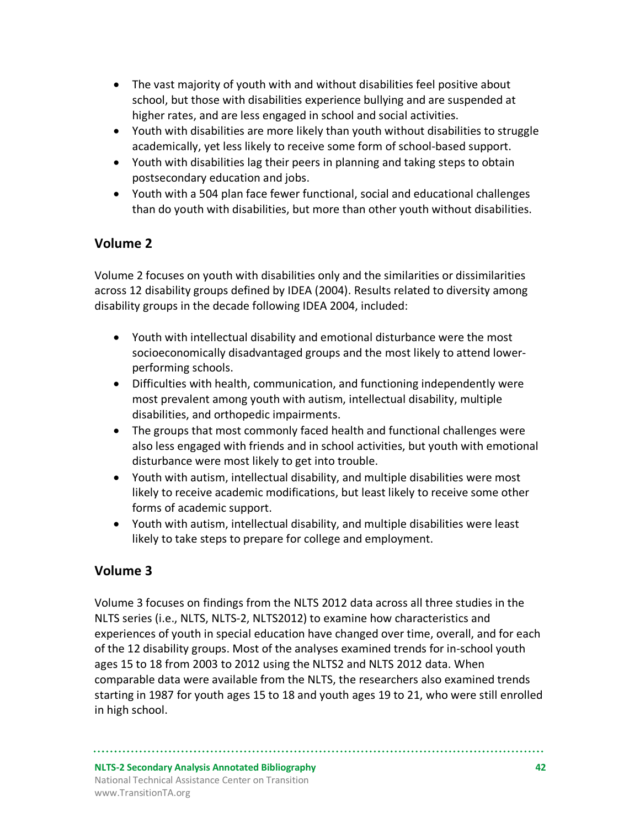- The vast majority of youth with and without disabilities feel positive about school, but those with disabilities experience bullying and are suspended at higher rates, and are less engaged in school and social activities.
- Youth with disabilities are more likely than youth without disabilities to struggle academically, yet less likely to receive some form of school-based support.
- Youth with disabilities lag their peers in planning and taking steps to obtain postsecondary education and jobs.
- Youth with a 504 plan face fewer functional, social and educational challenges than do youth with disabilities, but more than other youth without disabilities.

# **Volume 2**

Volume 2 focuses on youth with disabilities only and the similarities or dissimilarities across 12 disability groups defined by IDEA (2004). Results related to diversity among disability groups in the decade following IDEA 2004, included:

- Youth with intellectual disability and emotional disturbance were the most socioeconomically disadvantaged groups and the most likely to attend lowerperforming schools.
- Difficulties with health, communication, and functioning independently were most prevalent among youth with autism, intellectual disability, multiple disabilities, and orthopedic impairments.
- The groups that most commonly faced health and functional challenges were also less engaged with friends and in school activities, but youth with emotional disturbance were most likely to get into trouble.
- Youth with autism, intellectual disability, and multiple disabilities were most likely to receive academic modifications, but least likely to receive some other forms of academic support.
- Youth with autism, intellectual disability, and multiple disabilities were least likely to take steps to prepare for college and employment.

## **Volume 3**

Volume 3 focuses on findings from the NLTS 2012 data across all three studies in the NLTS series (i.e., NLTS, NLTS-2, NLTS2012) to examine how characteristics and experiences of youth in special education have changed over time, overall, and for each of the 12 disability groups. Most of the analyses examined trends for in-school youth ages 15 to 18 from 2003 to 2012 using the NLTS2 and NLTS 2012 data. When comparable data were available from the NLTS, the researchers also examined trends starting in 1987 for youth ages 15 to 18 and youth ages 19 to 21, who were still enrolled in high school.